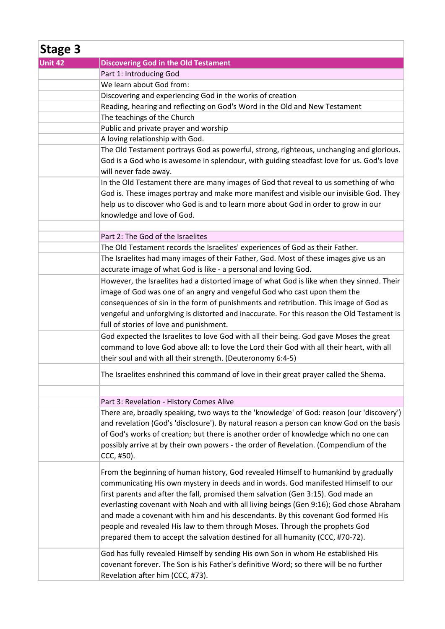| Stage 3 |                                                                                            |
|---------|--------------------------------------------------------------------------------------------|
| Unit 42 | <b>Discovering God in the Old Testament</b>                                                |
|         | Part 1: Introducing God                                                                    |
|         | We learn about God from:                                                                   |
|         | Discovering and experiencing God in the works of creation                                  |
|         | Reading, hearing and reflecting on God's Word in the Old and New Testament                 |
|         | The teachings of the Church                                                                |
|         | Public and private prayer and worship                                                      |
|         | A loving relationship with God.                                                            |
|         | The Old Testament portrays God as powerful, strong, righteous, unchanging and glorious.    |
|         | God is a God who is awesome in splendour, with guiding steadfast love for us. God's love   |
|         | will never fade away.                                                                      |
|         | In the Old Testament there are many images of God that reveal to us something of who       |
|         | God is. These images portray and make more manifest and visible our invisible God. They    |
|         | help us to discover who God is and to learn more about God in order to grow in our         |
|         | knowledge and love of God.                                                                 |
|         |                                                                                            |
|         | Part 2: The God of the Israelites                                                          |
|         | The Old Testament records the Israelites' experiences of God as their Father.              |
|         | The Israelites had many images of their Father, God. Most of these images give us an       |
|         | accurate image of what God is like - a personal and loving God.                            |
|         | However, the Israelites had a distorted image of what God is like when they sinned. Their  |
|         | image of God was one of an angry and vengeful God who cast upon them the                   |
|         | consequences of sin in the form of punishments and retribution. This image of God as       |
|         | vengeful and unforgiving is distorted and inaccurate. For this reason the Old Testament is |
|         | full of stories of love and punishment.                                                    |
|         | God expected the Israelites to love God with all their being. God gave Moses the great     |
|         | command to love God above all: to love the Lord their God with all their heart, with all   |
|         |                                                                                            |
|         | their soul and with all their strength. (Deuteronomy 6:4-5)                                |
|         | The Israelites enshrined this command of love in their great prayer called the Shema.      |
|         | Part 3: Revelation - History Comes Alive                                                   |
|         | There are, broadly speaking, two ways to the 'knowledge' of God: reason (our 'discovery')  |
|         | and revelation (God's 'disclosure'). By natural reason a person can know God on the basis  |
|         | of God's works of creation; but there is another order of knowledge which no one can       |
|         | possibly arrive at by their own powers - the order of Revelation. (Compendium of the       |
|         | CCC, #50).                                                                                 |
|         | From the beginning of human history, God revealed Himself to humankind by gradually        |
|         | communicating His own mystery in deeds and in words. God manifested Himself to our         |
|         | first parents and after the fall, promised them salvation (Gen 3:15). God made an          |
|         | everlasting covenant with Noah and with all living beings (Gen 9:16); God chose Abraham    |
|         | and made a covenant with him and his descendants. By this covenant God formed His          |
|         | people and revealed His law to them through Moses. Through the prophets God                |
|         | prepared them to accept the salvation destined for all humanity (CCC, #70-72).             |
|         | God has fully revealed Himself by sending His own Son in whom He established His           |
|         | covenant forever. The Son is his Father's definitive Word; so there will be no further     |
|         | Revelation after him (CCC, #73).                                                           |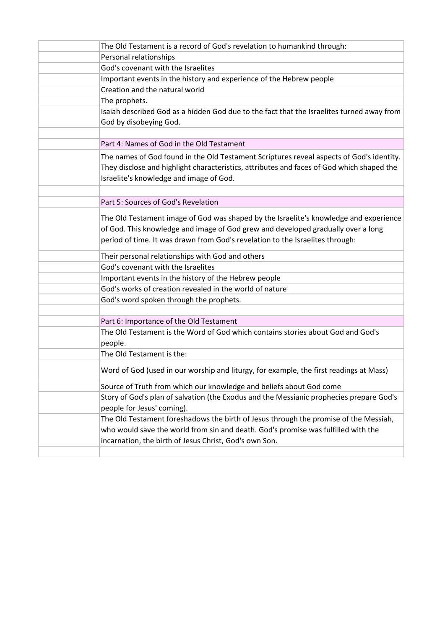| The Old Testament is a record of God's revelation to humankind through:                                                                                                                                                                                    |
|------------------------------------------------------------------------------------------------------------------------------------------------------------------------------------------------------------------------------------------------------------|
| Personal relationships                                                                                                                                                                                                                                     |
| God's covenant with the Israelites                                                                                                                                                                                                                         |
| Important events in the history and experience of the Hebrew people                                                                                                                                                                                        |
| Creation and the natural world                                                                                                                                                                                                                             |
| The prophets.                                                                                                                                                                                                                                              |
| Isaiah described God as a hidden God due to the fact that the Israelites turned away from<br>God by disobeying God.                                                                                                                                        |
|                                                                                                                                                                                                                                                            |
| Part 4: Names of God in the Old Testament                                                                                                                                                                                                                  |
| The names of God found in the Old Testament Scriptures reveal aspects of God's identity.<br>They disclose and highlight characteristics, attributes and faces of God which shaped the<br>Israelite's knowledge and image of God.                           |
|                                                                                                                                                                                                                                                            |
| Part 5: Sources of God's Revelation                                                                                                                                                                                                                        |
| The Old Testament image of God was shaped by the Israelite's knowledge and experience<br>of God. This knowledge and image of God grew and developed gradually over a long<br>period of time. It was drawn from God's revelation to the Israelites through: |
| Their personal relationships with God and others                                                                                                                                                                                                           |
| God's covenant with the Israelites                                                                                                                                                                                                                         |
| Important events in the history of the Hebrew people                                                                                                                                                                                                       |
| God's works of creation revealed in the world of nature                                                                                                                                                                                                    |
| God's word spoken through the prophets.                                                                                                                                                                                                                    |
|                                                                                                                                                                                                                                                            |
| Part 6: Importance of the Old Testament                                                                                                                                                                                                                    |
| The Old Testament is the Word of God which contains stories about God and God's<br>people.                                                                                                                                                                 |
| The Old Testament is the:                                                                                                                                                                                                                                  |
| Word of God (used in our worship and liturgy, for example, the first readings at Mass)                                                                                                                                                                     |
| Source of Truth from which our knowledge and beliefs about God come                                                                                                                                                                                        |
| Story of God's plan of salvation (the Exodus and the Messianic prophecies prepare God's<br>people for Jesus' coming).                                                                                                                                      |
| The Old Testament foreshadows the birth of Jesus through the promise of the Messiah,                                                                                                                                                                       |
| who would save the world from sin and death. God's promise was fulfilled with the                                                                                                                                                                          |
| incarnation, the birth of Jesus Christ, God's own Son.                                                                                                                                                                                                     |
|                                                                                                                                                                                                                                                            |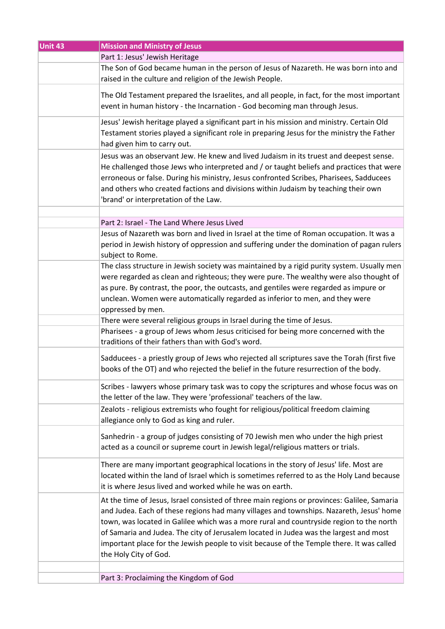| Unit 43 | <b>Mission and Ministry of Jesus</b>                                                                                                                                                                                                                                                                                                                                                                                                                                                             |
|---------|--------------------------------------------------------------------------------------------------------------------------------------------------------------------------------------------------------------------------------------------------------------------------------------------------------------------------------------------------------------------------------------------------------------------------------------------------------------------------------------------------|
|         | Part 1: Jesus' Jewish Heritage                                                                                                                                                                                                                                                                                                                                                                                                                                                                   |
|         | The Son of God became human in the person of Jesus of Nazareth. He was born into and<br>raised in the culture and religion of the Jewish People.                                                                                                                                                                                                                                                                                                                                                 |
|         | The Old Testament prepared the Israelites, and all people, in fact, for the most important<br>event in human history - the Incarnation - God becoming man through Jesus.                                                                                                                                                                                                                                                                                                                         |
|         | Jesus' Jewish heritage played a significant part in his mission and ministry. Certain Old<br>Testament stories played a significant role in preparing Jesus for the ministry the Father<br>had given him to carry out.                                                                                                                                                                                                                                                                           |
|         | Jesus was an observant Jew. He knew and lived Judaism in its truest and deepest sense.<br>He challenged those Jews who interpreted and / or taught beliefs and practices that were<br>erroneous or false. During his ministry, Jesus confronted Scribes, Pharisees, Sadducees<br>and others who created factions and divisions within Judaism by teaching their own<br>'brand' or interpretation of the Law.                                                                                     |
|         |                                                                                                                                                                                                                                                                                                                                                                                                                                                                                                  |
|         | Part 2: Israel - The Land Where Jesus Lived                                                                                                                                                                                                                                                                                                                                                                                                                                                      |
|         | Jesus of Nazareth was born and lived in Israel at the time of Roman occupation. It was a<br>period in Jewish history of oppression and suffering under the domination of pagan rulers<br>subject to Rome.                                                                                                                                                                                                                                                                                        |
|         | The class structure in Jewish society was maintained by a rigid purity system. Usually men                                                                                                                                                                                                                                                                                                                                                                                                       |
|         | were regarded as clean and righteous; they were pure. The wealthy were also thought of                                                                                                                                                                                                                                                                                                                                                                                                           |
|         | as pure. By contrast, the poor, the outcasts, and gentiles were regarded as impure or                                                                                                                                                                                                                                                                                                                                                                                                            |
|         | unclean. Women were automatically regarded as inferior to men, and they were                                                                                                                                                                                                                                                                                                                                                                                                                     |
|         | oppressed by men.                                                                                                                                                                                                                                                                                                                                                                                                                                                                                |
|         | There were several religious groups in Israel during the time of Jesus.                                                                                                                                                                                                                                                                                                                                                                                                                          |
|         | Pharisees - a group of Jews whom Jesus criticised for being more concerned with the<br>traditions of their fathers than with God's word.                                                                                                                                                                                                                                                                                                                                                         |
|         | Sadducees - a priestly group of Jews who rejected all scriptures save the Torah (first five<br>books of the OT) and who rejected the belief in the future resurrection of the body.                                                                                                                                                                                                                                                                                                              |
|         | Scribes - lawyers whose primary task was to copy the scriptures and whose focus was on<br>the letter of the law. They were 'professional' teachers of the law.                                                                                                                                                                                                                                                                                                                                   |
|         | Zealots - religious extremists who fought for religious/political freedom claiming<br>allegiance only to God as king and ruler.                                                                                                                                                                                                                                                                                                                                                                  |
|         | Sanhedrin - a group of judges consisting of 70 Jewish men who under the high priest<br>acted as a council or supreme court in Jewish legal/religious matters or trials.                                                                                                                                                                                                                                                                                                                          |
|         | There are many important geographical locations in the story of Jesus' life. Most are<br>located within the land of Israel which is sometimes referred to as the Holy Land because<br>it is where Jesus lived and worked while he was on earth.                                                                                                                                                                                                                                                  |
|         | At the time of Jesus, Israel consisted of three main regions or provinces: Galilee, Samaria<br>and Judea. Each of these regions had many villages and townships. Nazareth, Jesus' home<br>town, was located in Galilee which was a more rural and countryside region to the north<br>of Samaria and Judea. The city of Jerusalem located in Judea was the largest and most<br>important place for the Jewish people to visit because of the Temple there. It was called<br>the Holy City of God. |
|         | Part 3: Proclaiming the Kingdom of God                                                                                                                                                                                                                                                                                                                                                                                                                                                           |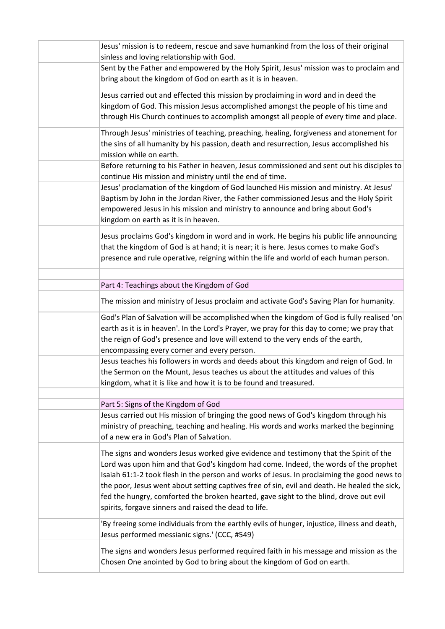| Jesus' mission is to redeem, rescue and save humankind from the loss of their original       |
|----------------------------------------------------------------------------------------------|
| sinless and loving relationship with God.                                                    |
| Sent by the Father and empowered by the Holy Spirit, Jesus' mission was to proclaim and      |
| bring about the kingdom of God on earth as it is in heaven.                                  |
| Jesus carried out and effected this mission by proclaiming in word and in deed the           |
| kingdom of God. This mission Jesus accomplished amongst the people of his time and           |
| through His Church continues to accomplish amongst all people of every time and place.       |
|                                                                                              |
| Through Jesus' ministries of teaching, preaching, healing, forgiveness and atonement for     |
| the sins of all humanity by his passion, death and resurrection, Jesus accomplished his      |
| mission while on earth.                                                                      |
| Before returning to his Father in heaven, Jesus commissioned and sent out his disciples to   |
| continue His mission and ministry until the end of time.                                     |
| Jesus' proclamation of the kingdom of God launched His mission and ministry. At Jesus'       |
| Baptism by John in the Jordan River, the Father commissioned Jesus and the Holy Spirit       |
| empowered Jesus in his mission and ministry to announce and bring about God's                |
| kingdom on earth as it is in heaven.                                                         |
| Jesus proclaims God's kingdom in word and in work. He begins his public life announcing      |
| that the kingdom of God is at hand; it is near; it is here. Jesus comes to make God's        |
| presence and rule operative, reigning within the life and world of each human person.        |
|                                                                                              |
| Part 4: Teachings about the Kingdom of God                                                   |
|                                                                                              |
| The mission and ministry of Jesus proclaim and activate God's Saving Plan for humanity.      |
| God's Plan of Salvation will be accomplished when the kingdom of God is fully realised 'on   |
| earth as it is in heaven'. In the Lord's Prayer, we pray for this day to come; we pray that  |
| the reign of God's presence and love will extend to the very ends of the earth,              |
| encompassing every corner and every person.                                                  |
| Jesus teaches his followers in words and deeds about this kingdom and reign of God. In       |
| the Sermon on the Mount, Jesus teaches us about the attitudes and values of this             |
| kingdom, what it is like and how it is to be found and treasured.                            |
|                                                                                              |
| Part 5: Signs of the Kingdom of God                                                          |
| Jesus carried out His mission of bringing the good news of God's kingdom through his         |
| ministry of preaching, teaching and healing. His words and works marked the beginning        |
| of a new era in God's Plan of Salvation.                                                     |
| The signs and wonders Jesus worked give evidence and testimony that the Spirit of the        |
| Lord was upon him and that God's kingdom had come. Indeed, the words of the prophet          |
| Isaiah 61:1-2 took flesh in the person and works of Jesus. In proclaiming the good news to   |
| the poor, Jesus went about setting captives free of sin, evil and death. He healed the sick, |
| fed the hungry, comforted the broken hearted, gave sight to the blind, drove out evil        |
| spirits, forgave sinners and raised the dead to life.                                        |
|                                                                                              |
| 'By freeing some individuals from the earthly evils of hunger, injustice, illness and death, |
| Jesus performed messianic signs.' (CCC, #549)                                                |
| The signs and wonders Jesus performed required faith in his message and mission as the       |
| Chosen One anointed by God to bring about the kingdom of God on earth.                       |
|                                                                                              |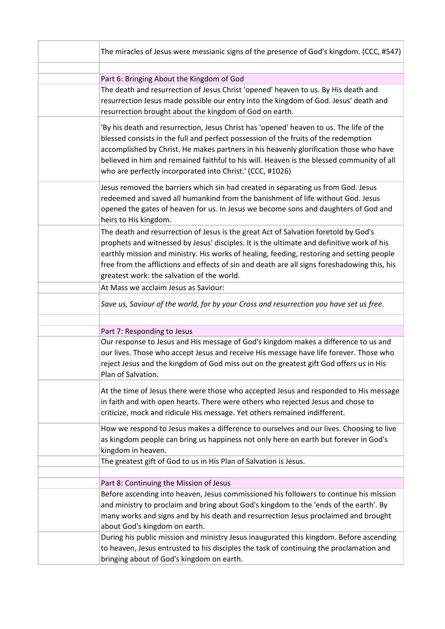| The miracles of Jesus were messianic signs of the presence of God's kingdom. (CCC, #547)                                                                                                                                                                                                                                                                                                                                           |
|------------------------------------------------------------------------------------------------------------------------------------------------------------------------------------------------------------------------------------------------------------------------------------------------------------------------------------------------------------------------------------------------------------------------------------|
|                                                                                                                                                                                                                                                                                                                                                                                                                                    |
| Part 6: Bringing About the Kingdom of God                                                                                                                                                                                                                                                                                                                                                                                          |
| The death and resurrection of Jesus Christ 'opened' heaven to us. By His death and<br>resurrection Jesus made possible our entry into the kingdom of God. Jesus' death and<br>resurrection brought about the kingdom of God on earth.                                                                                                                                                                                              |
| 'By his death and resurrection, Jesus Christ has 'opened' heaven to us. The life of the<br>blessed consists in the full and perfect possession of the fruits of the redemption<br>accomplished by Christ. He makes partners in his heavenly glorification those who have<br>believed in him and remained faithful to his will. Heaven is the blessed community of all<br>who are perfectly incorporated into Christ.' (CCC, #1026) |
| Jesus removed the barriers which sin had created in separating us from God. Jesus<br>redeemed and saved all humankind from the banishment of life without God. Jesus<br>opened the gates of heaven for us. In Jesus we become sons and daughters of God and<br>heirs to His kingdom.                                                                                                                                               |
| The death and resurrection of Jesus is the great Act of Salvation foretold by God's<br>prophets and witnessed by Jesus' disciples. It is the ultimate and definitive work of his<br>earthly mission and ministry. His works of healing, feeding, restoring and setting people<br>free from the afflictions and effects of sin and death are all signs foreshadowing this, his<br>greatest work: the salvation of the world.        |
| At Mass we acclaim Jesus as Saviour:                                                                                                                                                                                                                                                                                                                                                                                               |
| Save us, Saviour of the world, for by your Cross and resurrection you have set us free.                                                                                                                                                                                                                                                                                                                                            |
|                                                                                                                                                                                                                                                                                                                                                                                                                                    |
| Part 7: Responding to Jesus                                                                                                                                                                                                                                                                                                                                                                                                        |
| Our response to Jesus and His message of God's kingdom makes a difference to us and<br>our lives. Those who accept Jesus and receive His message have life forever. Those who<br>reject Jesus and the kingdom of God miss out on the greatest gift God offers us in His<br>Plan of Salvation.                                                                                                                                      |
| At the time of Jesus there were those who accepted Jesus and responded to His message<br>in faith and with open hearts. There were others who rejected Jesus and chose to<br>criticize, mock and ridicule His message. Yet others remained indifferent.                                                                                                                                                                            |
| How we respond to Jesus makes a difference to ourselves and our lives. Choosing to live<br>as kingdom people can bring us happiness not only here on earth but forever in God's<br>kingdom in heaven.                                                                                                                                                                                                                              |
| The greatest gift of God to us in His Plan of Salvation is Jesus.                                                                                                                                                                                                                                                                                                                                                                  |
|                                                                                                                                                                                                                                                                                                                                                                                                                                    |
| Part 8: Continuing the Mission of Jesus                                                                                                                                                                                                                                                                                                                                                                                            |
| Before ascending into heaven, Jesus commissioned his followers to continue his mission<br>and ministry to proclaim and bring about God's kingdom to the 'ends of the earth'. By<br>many works and signs and by his death and resurrection Jesus proclaimed and brought<br>about God's kingdom on earth.                                                                                                                            |
| During his public mission and ministry Jesus inaugurated this kingdom. Before ascending<br>to heaven, Jesus entrusted to his disciples the task of continuing the proclamation and<br>bringing about of God's kingdom on earth.                                                                                                                                                                                                    |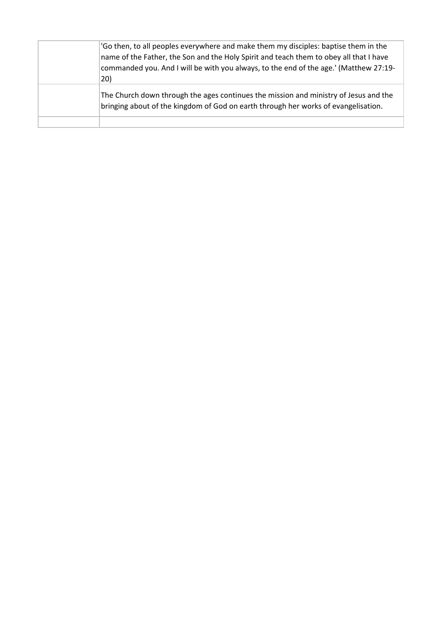| 'Go then, to all peoples everywhere and make them my disciples: baptise them in the<br>name of the Father, the Son and the Holy Spirit and teach them to obey all that I have<br>commanded you. And I will be with you always, to the end of the age.' (Matthew 27:19-<br>20) |
|-------------------------------------------------------------------------------------------------------------------------------------------------------------------------------------------------------------------------------------------------------------------------------|
| The Church down through the ages continues the mission and ministry of Jesus and the<br>bringing about of the kingdom of God on earth through her works of evangelisation.                                                                                                    |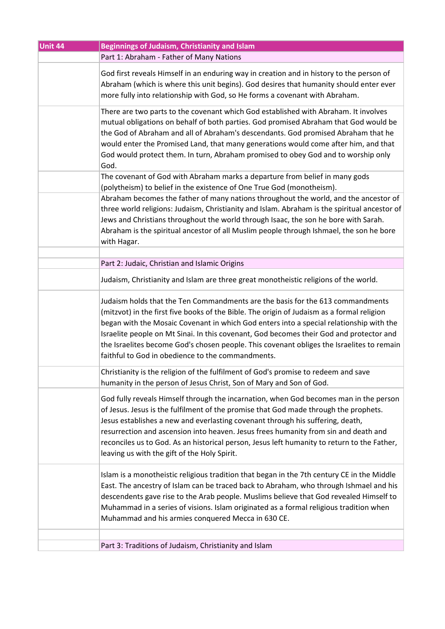| Unit 44 | <b>Beginnings of Judaism, Christianity and Islam</b>                                                                                                                                                                                                                                                                                                                                                                                                                                                                 |
|---------|----------------------------------------------------------------------------------------------------------------------------------------------------------------------------------------------------------------------------------------------------------------------------------------------------------------------------------------------------------------------------------------------------------------------------------------------------------------------------------------------------------------------|
|         | Part 1: Abraham - Father of Many Nations                                                                                                                                                                                                                                                                                                                                                                                                                                                                             |
|         | God first reveals Himself in an enduring way in creation and in history to the person of<br>Abraham (which is where this unit begins). God desires that humanity should enter ever<br>more fully into relationship with God, so He forms a covenant with Abraham.                                                                                                                                                                                                                                                    |
|         | There are two parts to the covenant which God established with Abraham. It involves<br>mutual obligations on behalf of both parties. God promised Abraham that God would be<br>the God of Abraham and all of Abraham's descendants. God promised Abraham that he<br>would enter the Promised Land, that many generations would come after him, and that<br>God would protect them. In turn, Abraham promised to obey God and to worship only<br>God.                                                                 |
|         | The covenant of God with Abraham marks a departure from belief in many gods<br>(polytheism) to belief in the existence of One True God (monotheism).                                                                                                                                                                                                                                                                                                                                                                 |
|         | Abraham becomes the father of many nations throughout the world, and the ancestor of<br>three world religions: Judaism, Christianity and Islam. Abraham is the spiritual ancestor of<br>Jews and Christians throughout the world through Isaac, the son he bore with Sarah.<br>Abraham is the spiritual ancestor of all Muslim people through Ishmael, the son he bore<br>with Hagar.                                                                                                                                |
|         | Part 2: Judaic, Christian and Islamic Origins                                                                                                                                                                                                                                                                                                                                                                                                                                                                        |
|         | Judaism, Christianity and Islam are three great monotheistic religions of the world.                                                                                                                                                                                                                                                                                                                                                                                                                                 |
|         | Judaism holds that the Ten Commandments are the basis for the 613 commandments<br>(mitzvot) in the first five books of the Bible. The origin of Judaism as a formal religion<br>began with the Mosaic Covenant in which God enters into a special relationship with the<br>Israelite people on Mt Sinai. In this covenant, God becomes their God and protector and<br>the Israelites become God's chosen people. This covenant obliges the Israelites to remain<br>faithful to God in obedience to the commandments. |
|         | Christianity is the religion of the fulfilment of God's promise to redeem and save<br>humanity in the person of Jesus Christ, Son of Mary and Son of God.                                                                                                                                                                                                                                                                                                                                                            |
|         | God fully reveals Himself through the incarnation, when God becomes man in the person<br>of Jesus. Jesus is the fulfilment of the promise that God made through the prophets.<br>Jesus establishes a new and everlasting covenant through his suffering, death,<br>resurrection and ascension into heaven. Jesus frees humanity from sin and death and<br>reconciles us to God. As an historical person, Jesus left humanity to return to the Father,<br>leaving us with the gift of the Holy Spirit.                |
|         | Islam is a monotheistic religious tradition that began in the 7th century CE in the Middle<br>East. The ancestry of Islam can be traced back to Abraham, who through Ishmael and his<br>descendents gave rise to the Arab people. Muslims believe that God revealed Himself to<br>Muhammad in a series of visions. Islam originated as a formal religious tradition when<br>Muhammad and his armies conquered Mecca in 630 CE.                                                                                       |
|         | Part 3: Traditions of Judaism, Christianity and Islam                                                                                                                                                                                                                                                                                                                                                                                                                                                                |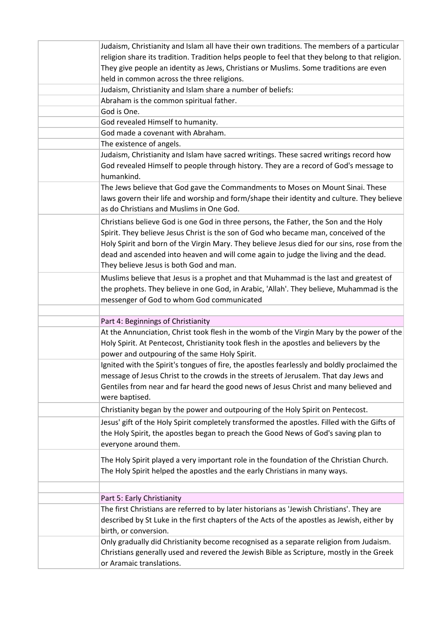| Judaism, Christianity and Islam all have their own traditions. The members of a particular                           |
|----------------------------------------------------------------------------------------------------------------------|
| religion share its tradition. Tradition helps people to feel that they belong to that religion.                      |
| They give people an identity as Jews, Christians or Muslims. Some traditions are even                                |
| held in common across the three religions.                                                                           |
| Judaism, Christianity and Islam share a number of beliefs:                                                           |
| Abraham is the common spiritual father.                                                                              |
| God is One.                                                                                                          |
| God revealed Himself to humanity.                                                                                    |
| God made a covenant with Abraham.                                                                                    |
| The existence of angels.                                                                                             |
| Judaism, Christianity and Islam have sacred writings. These sacred writings record how                               |
| God revealed Himself to people through history. They are a record of God's message to                                |
| humankind.                                                                                                           |
|                                                                                                                      |
| The Jews believe that God gave the Commandments to Moses on Mount Sinai. These                                       |
| laws govern their life and worship and form/shape their identity and culture. They believe                           |
| as do Christians and Muslims in One God.                                                                             |
| Christians believe God is one God in three persons, the Father, the Son and the Holy                                 |
| Spirit. They believe Jesus Christ is the son of God who became man, conceived of the                                 |
| Holy Spirit and born of the Virgin Mary. They believe Jesus died for our sins, rose from the                         |
| dead and ascended into heaven and will come again to judge the living and the dead.                                  |
| They believe Jesus is both God and man.                                                                              |
| Muslims believe that Jesus is a prophet and that Muhammad is the last and greatest of                                |
| the prophets. They believe in one God, in Arabic, 'Allah'. They believe, Muhammad is the                             |
|                                                                                                                      |
| messenger of God to whom God communicated                                                                            |
|                                                                                                                      |
|                                                                                                                      |
| Part 4: Beginnings of Christianity                                                                                   |
| At the Annunciation, Christ took flesh in the womb of the Virgin Mary by the power of the                            |
| Holy Spirit. At Pentecost, Christianity took flesh in the apostles and believers by the                              |
| power and outpouring of the same Holy Spirit.                                                                        |
| Ignited with the Spirit's tongues of fire, the apostles fearlessly and boldly proclaimed the                         |
| message of Jesus Christ to the crowds in the streets of Jerusalem. That day Jews and                                 |
| Gentiles from near and far heard the good news of Jesus Christ and many believed and                                 |
| were baptised.                                                                                                       |
| Christianity began by the power and outpouring of the Holy Spirit on Pentecost.                                      |
| Jesus' gift of the Holy Spirit completely transformed the apostles. Filled with the Gifts of                         |
| the Holy Spirit, the apostles began to preach the Good News of God's saving plan to                                  |
| everyone around them.                                                                                                |
|                                                                                                                      |
| The Holy Spirit played a very important role in the foundation of the Christian Church.                              |
| The Holy Spirit helped the apostles and the early Christians in many ways.                                           |
|                                                                                                                      |
| Part 5: Early Christianity                                                                                           |
| The first Christians are referred to by later historians as 'Jewish Christians'. They are                            |
| described by St Luke in the first chapters of the Acts of the apostles as Jewish, either by                          |
| birth, or conversion.                                                                                                |
|                                                                                                                      |
| Only gradually did Christianity become recognised as a separate religion from Judaism.                               |
| Christians generally used and revered the Jewish Bible as Scripture, mostly in the Greek<br>or Aramaic translations. |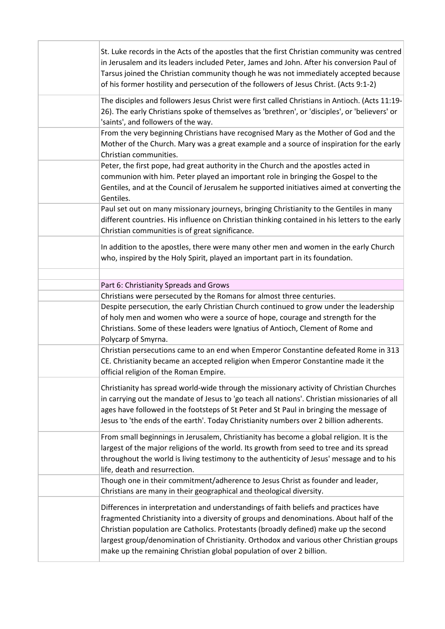| St. Luke records in the Acts of the apostles that the first Christian community was centred<br>in Jerusalem and its leaders included Peter, James and John. After his conversion Paul of<br>Tarsus joined the Christian community though he was not immediately accepted because<br>of his former hostility and persecution of the followers of Jesus Christ. (Acts 9:1-2)                                                                 |
|--------------------------------------------------------------------------------------------------------------------------------------------------------------------------------------------------------------------------------------------------------------------------------------------------------------------------------------------------------------------------------------------------------------------------------------------|
| The disciples and followers Jesus Christ were first called Christians in Antioch. (Acts 11:19-<br>26). The early Christians spoke of themselves as 'brethren', or 'disciples', or 'believers' or<br>'saints', and followers of the way.                                                                                                                                                                                                    |
| From the very beginning Christians have recognised Mary as the Mother of God and the<br>Mother of the Church. Mary was a great example and a source of inspiration for the early<br>Christian communities.                                                                                                                                                                                                                                 |
| Peter, the first pope, had great authority in the Church and the apostles acted in<br>communion with him. Peter played an important role in bringing the Gospel to the<br>Gentiles, and at the Council of Jerusalem he supported initiatives aimed at converting the<br>Gentiles.                                                                                                                                                          |
| Paul set out on many missionary journeys, bringing Christianity to the Gentiles in many<br>different countries. His influence on Christian thinking contained in his letters to the early<br>Christian communities is of great significance.                                                                                                                                                                                               |
| In addition to the apostles, there were many other men and women in the early Church<br>who, inspired by the Holy Spirit, played an important part in its foundation.                                                                                                                                                                                                                                                                      |
| Part 6: Christianity Spreads and Grows                                                                                                                                                                                                                                                                                                                                                                                                     |
| Christians were persecuted by the Romans for almost three centuries.                                                                                                                                                                                                                                                                                                                                                                       |
| Despite persecution, the early Christian Church continued to grow under the leadership                                                                                                                                                                                                                                                                                                                                                     |
| of holy men and women who were a source of hope, courage and strength for the<br>Christians. Some of these leaders were Ignatius of Antioch, Clement of Rome and<br>Polycarp of Smyrna.                                                                                                                                                                                                                                                    |
| Christian persecutions came to an end when Emperor Constantine defeated Rome in 313<br>CE. Christianity became an accepted religion when Emperor Constantine made it the<br>official religion of the Roman Empire.                                                                                                                                                                                                                         |
| Christianity has spread world-wide through the missionary activity of Christian Churches<br>in carrying out the mandate of Jesus to 'go teach all nations'. Christian missionaries of all<br>ages have followed in the footsteps of St Peter and St Paul in bringing the message of<br>Jesus to 'the ends of the earth'. Today Christianity numbers over 2 billion adherents.                                                              |
| From small beginnings in Jerusalem, Christianity has become a global religion. It is the<br>largest of the major religions of the world. Its growth from seed to tree and its spread<br>throughout the world is living testimony to the authenticity of Jesus' message and to his<br>life, death and resurrection.                                                                                                                         |
| Though one in their commitment/adherence to Jesus Christ as founder and leader,<br>Christians are many in their geographical and theological diversity.                                                                                                                                                                                                                                                                                    |
| Differences in interpretation and understandings of faith beliefs and practices have<br>fragmented Christianity into a diversity of groups and denominations. About half of the<br>Christian population are Catholics. Protestants (broadly defined) make up the second<br>largest group/denomination of Christianity. Orthodox and various other Christian groups<br>make up the remaining Christian global population of over 2 billion. |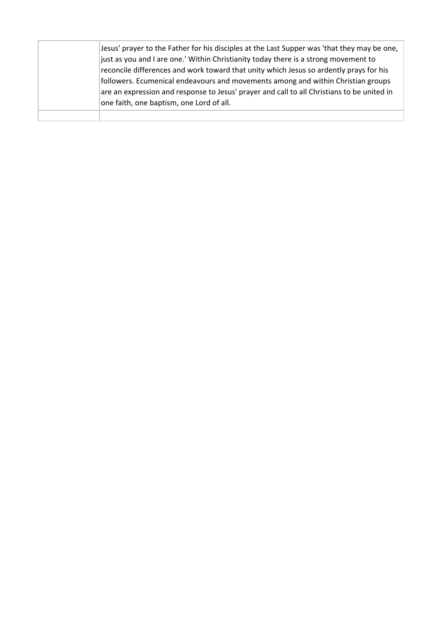| Jesus' prayer to the Father for his disciples at the Last Supper was 'that they may be one,<br>just as you and I are one.' Within Christianity today there is a strong movement to<br>reconcile differences and work toward that unity which Jesus so ardently prays for his<br>followers. Ecumenical endeavours and movements among and within Christian groups<br>are an expression and response to Jesus' prayer and call to all Christians to be united in<br>one faith, one baptism, one Lord of all. |
|------------------------------------------------------------------------------------------------------------------------------------------------------------------------------------------------------------------------------------------------------------------------------------------------------------------------------------------------------------------------------------------------------------------------------------------------------------------------------------------------------------|
|                                                                                                                                                                                                                                                                                                                                                                                                                                                                                                            |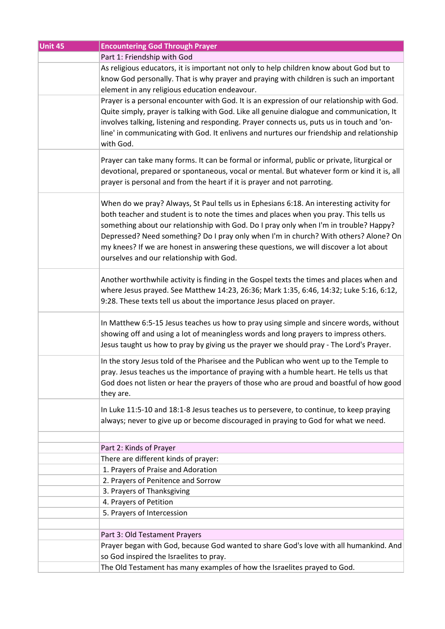| Unit 45 | <b>Encountering God Through Prayer</b>                                                                                                                                                                                                                                                                                                                                                                                                                                                                  |
|---------|---------------------------------------------------------------------------------------------------------------------------------------------------------------------------------------------------------------------------------------------------------------------------------------------------------------------------------------------------------------------------------------------------------------------------------------------------------------------------------------------------------|
|         | Part 1: Friendship with God                                                                                                                                                                                                                                                                                                                                                                                                                                                                             |
|         | As religious educators, it is important not only to help children know about God but to<br>know God personally. That is why prayer and praying with children is such an important<br>element in any religious education endeavour.                                                                                                                                                                                                                                                                      |
|         | Prayer is a personal encounter with God. It is an expression of our relationship with God.<br>Quite simply, prayer is talking with God. Like all genuine dialogue and communication, It<br>involves talking, listening and responding. Prayer connects us, puts us in touch and 'on-<br>line' in communicating with God. It enlivens and nurtures our friendship and relationship<br>with God.                                                                                                          |
|         | Prayer can take many forms. It can be formal or informal, public or private, liturgical or<br>devotional, prepared or spontaneous, vocal or mental. But whatever form or kind it is, all<br>prayer is personal and from the heart if it is prayer and not parroting.                                                                                                                                                                                                                                    |
|         | When do we pray? Always, St Paul tells us in Ephesians 6:18. An interesting activity for<br>both teacher and student is to note the times and places when you pray. This tells us<br>something about our relationship with God. Do I pray only when I'm in trouble? Happy?<br>Depressed? Need something? Do I pray only when I'm in church? With others? Alone? On<br>my knees? If we are honest in answering these questions, we will discover a lot about<br>ourselves and our relationship with God. |
|         | Another worthwhile activity is finding in the Gospel texts the times and places when and<br>where Jesus prayed. See Matthew 14:23, 26:36; Mark 1:35, 6:46, 14:32; Luke 5:16, 6:12,<br>9:28. These texts tell us about the importance Jesus placed on prayer.                                                                                                                                                                                                                                            |
|         | In Matthew 6:5-15 Jesus teaches us how to pray using simple and sincere words, without<br>showing off and using a lot of meaningless words and long prayers to impress others.<br>Jesus taught us how to pray by giving us the prayer we should pray - The Lord's Prayer.                                                                                                                                                                                                                               |
|         | In the story Jesus told of the Pharisee and the Publican who went up to the Temple to<br>pray. Jesus teaches us the importance of praying with a humble heart. He tells us that<br>God does not listen or hear the prayers of those who are proud and boastful of how good<br>they are.                                                                                                                                                                                                                 |
|         | In Luke 11:5-10 and 18:1-8 Jesus teaches us to persevere, to continue, to keep praying<br>always; never to give up or become discouraged in praying to God for what we need.                                                                                                                                                                                                                                                                                                                            |
|         |                                                                                                                                                                                                                                                                                                                                                                                                                                                                                                         |
|         | Part 2: Kinds of Prayer<br>There are different kinds of prayer:                                                                                                                                                                                                                                                                                                                                                                                                                                         |
|         | 1. Prayers of Praise and Adoration                                                                                                                                                                                                                                                                                                                                                                                                                                                                      |
|         | 2. Prayers of Penitence and Sorrow                                                                                                                                                                                                                                                                                                                                                                                                                                                                      |
|         | 3. Prayers of Thanksgiving                                                                                                                                                                                                                                                                                                                                                                                                                                                                              |
|         | 4. Prayers of Petition                                                                                                                                                                                                                                                                                                                                                                                                                                                                                  |
|         | 5. Prayers of Intercession                                                                                                                                                                                                                                                                                                                                                                                                                                                                              |
|         |                                                                                                                                                                                                                                                                                                                                                                                                                                                                                                         |
|         | Part 3: Old Testament Prayers                                                                                                                                                                                                                                                                                                                                                                                                                                                                           |
|         | Prayer began with God, because God wanted to share God's love with all humankind. And                                                                                                                                                                                                                                                                                                                                                                                                                   |
|         | so God inspired the Israelites to pray.                                                                                                                                                                                                                                                                                                                                                                                                                                                                 |
|         | The Old Testament has many examples of how the Israelites prayed to God.                                                                                                                                                                                                                                                                                                                                                                                                                                |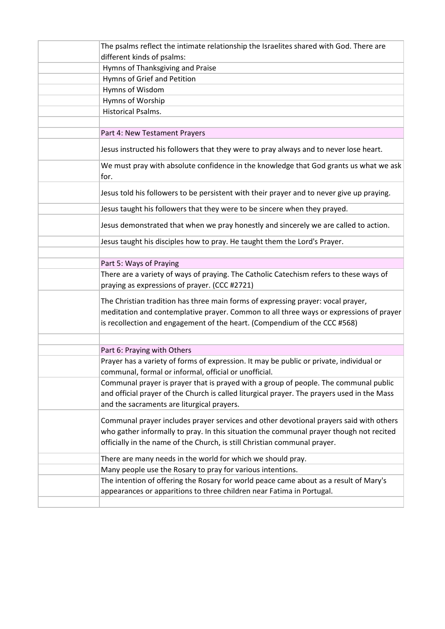| The psalms reflect the intimate relationship the Israelites shared with God. There are                                                                                                                                                                         |
|----------------------------------------------------------------------------------------------------------------------------------------------------------------------------------------------------------------------------------------------------------------|
| different kinds of psalms:                                                                                                                                                                                                                                     |
| Hymns of Thanksgiving and Praise                                                                                                                                                                                                                               |
| Hymns of Grief and Petition                                                                                                                                                                                                                                    |
| Hymns of Wisdom                                                                                                                                                                                                                                                |
| Hymns of Worship                                                                                                                                                                                                                                               |
| Historical Psalms.                                                                                                                                                                                                                                             |
|                                                                                                                                                                                                                                                                |
| Part 4: New Testament Prayers                                                                                                                                                                                                                                  |
| Jesus instructed his followers that they were to pray always and to never lose heart.                                                                                                                                                                          |
| We must pray with absolute confidence in the knowledge that God grants us what we ask<br>for.                                                                                                                                                                  |
| Jesus told his followers to be persistent with their prayer and to never give up praying.                                                                                                                                                                      |
| Jesus taught his followers that they were to be sincere when they prayed.                                                                                                                                                                                      |
| Jesus demonstrated that when we pray honestly and sincerely we are called to action.                                                                                                                                                                           |
| Jesus taught his disciples how to pray. He taught them the Lord's Prayer.                                                                                                                                                                                      |
|                                                                                                                                                                                                                                                                |
| Part 5: Ways of Praying                                                                                                                                                                                                                                        |
| There are a variety of ways of praying. The Catholic Catechism refers to these ways of<br>praying as expressions of prayer. (CCC #2721)                                                                                                                        |
| The Christian tradition has three main forms of expressing prayer: vocal prayer,<br>meditation and contemplative prayer. Common to all three ways or expressions of prayer<br>is recollection and engagement of the heart. (Compendium of the CCC #568)        |
|                                                                                                                                                                                                                                                                |
| Part 6: Praying with Others                                                                                                                                                                                                                                    |
| Prayer has a variety of forms of expression. It may be public or private, individual or<br>communal, formal or informal, official or unofficial.                                                                                                               |
| Communal prayer is prayer that is prayed with a group of people. The communal public<br>and official prayer of the Church is called liturgical prayer. The prayers used in the Mass<br>and the sacraments are liturgical prayers.                              |
| Communal prayer includes prayer services and other devotional prayers said with others<br>who gather informally to pray. In this situation the communal prayer though not recited<br>officially in the name of the Church, is still Christian communal prayer. |
| There are many needs in the world for which we should pray.                                                                                                                                                                                                    |
| Many people use the Rosary to pray for various intentions.                                                                                                                                                                                                     |
| The intention of offering the Rosary for world peace came about as a result of Mary's<br>appearances or apparitions to three children near Fatima in Portugal.                                                                                                 |
|                                                                                                                                                                                                                                                                |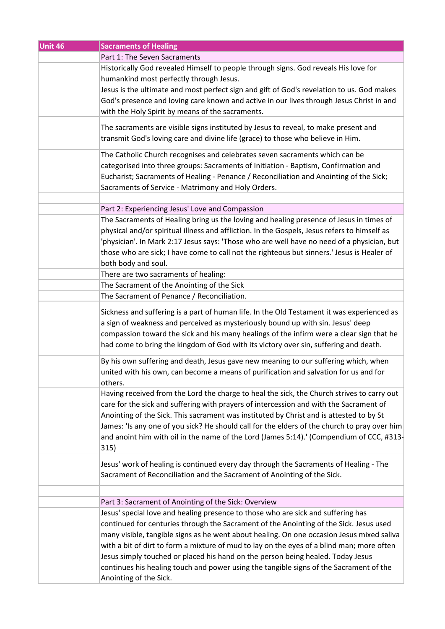| Unit 46 | <b>Sacraments of Healing</b>                                                                                                                                                                                                                                                                                                                                                                                                                                                                                                                      |
|---------|---------------------------------------------------------------------------------------------------------------------------------------------------------------------------------------------------------------------------------------------------------------------------------------------------------------------------------------------------------------------------------------------------------------------------------------------------------------------------------------------------------------------------------------------------|
|         | Part 1: The Seven Sacraments                                                                                                                                                                                                                                                                                                                                                                                                                                                                                                                      |
|         | Historically God revealed Himself to people through signs. God reveals His love for<br>humankind most perfectly through Jesus.                                                                                                                                                                                                                                                                                                                                                                                                                    |
|         | Jesus is the ultimate and most perfect sign and gift of God's revelation to us. God makes<br>God's presence and loving care known and active in our lives through Jesus Christ in and<br>with the Holy Spirit by means of the sacraments.                                                                                                                                                                                                                                                                                                         |
|         | The sacraments are visible signs instituted by Jesus to reveal, to make present and<br>transmit God's loving care and divine life (grace) to those who believe in Him.                                                                                                                                                                                                                                                                                                                                                                            |
|         | The Catholic Church recognises and celebrates seven sacraments which can be<br>categorised into three groups: Sacraments of Initiation - Baptism, Confirmation and<br>Eucharist; Sacraments of Healing - Penance / Reconciliation and Anointing of the Sick;<br>Sacraments of Service - Matrimony and Holy Orders.                                                                                                                                                                                                                                |
|         |                                                                                                                                                                                                                                                                                                                                                                                                                                                                                                                                                   |
|         | Part 2: Experiencing Jesus' Love and Compassion                                                                                                                                                                                                                                                                                                                                                                                                                                                                                                   |
|         | The Sacraments of Healing bring us the loving and healing presence of Jesus in times of<br>physical and/or spiritual illness and affliction. In the Gospels, Jesus refers to himself as<br>'physician'. In Mark 2:17 Jesus says: 'Those who are well have no need of a physician, but<br>those who are sick; I have come to call not the righteous but sinners.' Jesus is Healer of<br>both body and soul.                                                                                                                                        |
|         | There are two sacraments of healing:                                                                                                                                                                                                                                                                                                                                                                                                                                                                                                              |
|         | The Sacrament of the Anointing of the Sick                                                                                                                                                                                                                                                                                                                                                                                                                                                                                                        |
|         | The Sacrament of Penance / Reconciliation.                                                                                                                                                                                                                                                                                                                                                                                                                                                                                                        |
|         | Sickness and suffering is a part of human life. In the Old Testament it was experienced as<br>a sign of weakness and perceived as mysteriously bound up with sin. Jesus' deep<br>compassion toward the sick and his many healings of the infirm were a clear sign that he<br>had come to bring the kingdom of God with its victory over sin, suffering and death.                                                                                                                                                                                 |
|         | By his own suffering and death, Jesus gave new meaning to our suffering which, when<br>united with his own, can become a means of purification and salvation for us and for<br>others.                                                                                                                                                                                                                                                                                                                                                            |
|         | Having received from the Lord the charge to heal the sick, the Church strives to carry out<br>care for the sick and suffering with prayers of intercession and with the Sacrament of<br>Anointing of the Sick. This sacrament was instituted by Christ and is attested to by St<br>James: 'Is any one of you sick? He should call for the elders of the church to pray over him<br>and anoint him with oil in the name of the Lord (James 5:14).' (Compendium of CCC, #313-<br>315)                                                               |
|         | Jesus' work of healing is continued every day through the Sacraments of Healing - The<br>Sacrament of Reconciliation and the Sacrament of Anointing of the Sick.                                                                                                                                                                                                                                                                                                                                                                                  |
|         |                                                                                                                                                                                                                                                                                                                                                                                                                                                                                                                                                   |
|         | Part 3: Sacrament of Anointing of the Sick: Overview                                                                                                                                                                                                                                                                                                                                                                                                                                                                                              |
|         | Jesus' special love and healing presence to those who are sick and suffering has<br>continued for centuries through the Sacrament of the Anointing of the Sick. Jesus used<br>many visible, tangible signs as he went about healing. On one occasion Jesus mixed saliva<br>with a bit of dirt to form a mixture of mud to lay on the eyes of a blind man; more often<br>Jesus simply touched or placed his hand on the person being healed. Today Jesus<br>continues his healing touch and power using the tangible signs of the Sacrament of the |
|         | Anointing of the Sick.                                                                                                                                                                                                                                                                                                                                                                                                                                                                                                                            |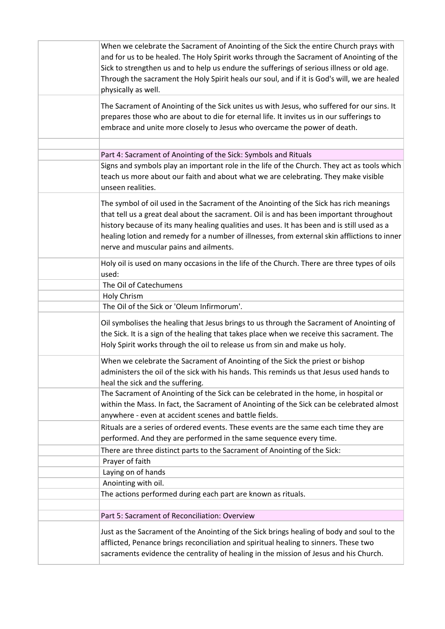| When we celebrate the Sacrament of Anointing of the Sick the entire Church prays with<br>and for us to be healed. The Holy Spirit works through the Sacrament of Anointing of the<br>Sick to strengthen us and to help us endure the sufferings of serious illness or old age.<br>Through the sacrament the Holy Spirit heals our soul, and if it is God's will, we are healed<br>physically as well.                     |
|---------------------------------------------------------------------------------------------------------------------------------------------------------------------------------------------------------------------------------------------------------------------------------------------------------------------------------------------------------------------------------------------------------------------------|
| The Sacrament of Anointing of the Sick unites us with Jesus, who suffered for our sins. It<br>prepares those who are about to die for eternal life. It invites us in our sufferings to<br>embrace and unite more closely to Jesus who overcame the power of death.                                                                                                                                                        |
|                                                                                                                                                                                                                                                                                                                                                                                                                           |
| Part 4: Sacrament of Anointing of the Sick: Symbols and Rituals<br>Signs and symbols play an important role in the life of the Church. They act as tools which<br>teach us more about our faith and about what we are celebrating. They make visible<br>unseen realities.                                                                                                                                                 |
| The symbol of oil used in the Sacrament of the Anointing of the Sick has rich meanings<br>that tell us a great deal about the sacrament. Oil is and has been important throughout<br>history because of its many healing qualities and uses. It has been and is still used as a<br>healing lotion and remedy for a number of illnesses, from external skin afflictions to inner<br>nerve and muscular pains and ailments. |
| Holy oil is used on many occasions in the life of the Church. There are three types of oils<br>used:                                                                                                                                                                                                                                                                                                                      |
| The Oil of Catechumens                                                                                                                                                                                                                                                                                                                                                                                                    |
| Holy Chrism                                                                                                                                                                                                                                                                                                                                                                                                               |
| The Oil of the Sick or 'Oleum Infirmorum'.                                                                                                                                                                                                                                                                                                                                                                                |
| Oil symbolises the healing that Jesus brings to us through the Sacrament of Anointing of<br>the Sick. It is a sign of the healing that takes place when we receive this sacrament. The<br>Holy Spirit works through the oil to release us from sin and make us holy.                                                                                                                                                      |
| When we celebrate the Sacrament of Anointing of the Sick the priest or bishop<br>administers the oil of the sick with his hands. This reminds us that Jesus used hands to<br>heal the sick and the suffering.                                                                                                                                                                                                             |
| The Sacrament of Anointing of the Sick can be celebrated in the home, in hospital or<br>within the Mass. In fact, the Sacrament of Anointing of the Sick can be celebrated almost<br>anywhere - even at accident scenes and battle fields.                                                                                                                                                                                |
| Rituals are a series of ordered events. These events are the same each time they are<br>performed. And they are performed in the same sequence every time.                                                                                                                                                                                                                                                                |
| There are three distinct parts to the Sacrament of Anointing of the Sick:                                                                                                                                                                                                                                                                                                                                                 |
| Prayer of faith                                                                                                                                                                                                                                                                                                                                                                                                           |
| Laying on of hands                                                                                                                                                                                                                                                                                                                                                                                                        |
| Anointing with oil.                                                                                                                                                                                                                                                                                                                                                                                                       |
| The actions performed during each part are known as rituals.                                                                                                                                                                                                                                                                                                                                                              |
| Part 5: Sacrament of Reconciliation: Overview                                                                                                                                                                                                                                                                                                                                                                             |
| Just as the Sacrament of the Anointing of the Sick brings healing of body and soul to the<br>afflicted, Penance brings reconciliation and spiritual healing to sinners. These two<br>sacraments evidence the centrality of healing in the mission of Jesus and his Church.                                                                                                                                                |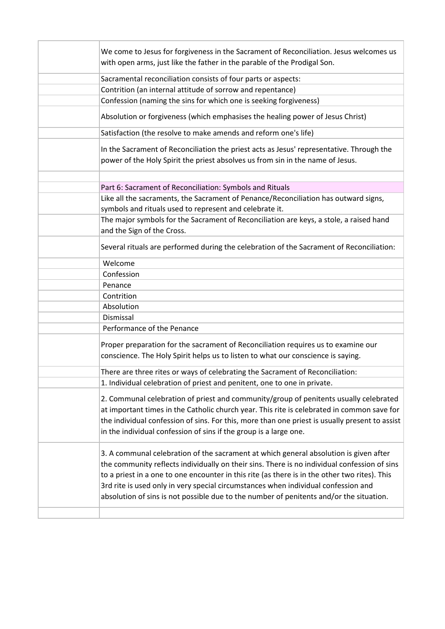| We come to Jesus for forgiveness in the Sacrament of Reconciliation. Jesus welcomes us<br>with open arms, just like the father in the parable of the Prodigal Son.                                                                                                                                                                                                                                                                                                      |
|-------------------------------------------------------------------------------------------------------------------------------------------------------------------------------------------------------------------------------------------------------------------------------------------------------------------------------------------------------------------------------------------------------------------------------------------------------------------------|
| Sacramental reconciliation consists of four parts or aspects:                                                                                                                                                                                                                                                                                                                                                                                                           |
| Contrition (an internal attitude of sorrow and repentance)                                                                                                                                                                                                                                                                                                                                                                                                              |
| Confession (naming the sins for which one is seeking forgiveness)                                                                                                                                                                                                                                                                                                                                                                                                       |
| Absolution or forgiveness (which emphasises the healing power of Jesus Christ)                                                                                                                                                                                                                                                                                                                                                                                          |
| Satisfaction (the resolve to make amends and reform one's life)                                                                                                                                                                                                                                                                                                                                                                                                         |
| In the Sacrament of Reconciliation the priest acts as Jesus' representative. Through the<br>power of the Holy Spirit the priest absolves us from sin in the name of Jesus.                                                                                                                                                                                                                                                                                              |
| Part 6: Sacrament of Reconciliation: Symbols and Rituals                                                                                                                                                                                                                                                                                                                                                                                                                |
| Like all the sacraments, the Sacrament of Penance/Reconciliation has outward signs,                                                                                                                                                                                                                                                                                                                                                                                     |
| symbols and rituals used to represent and celebrate it.                                                                                                                                                                                                                                                                                                                                                                                                                 |
| The major symbols for the Sacrament of Reconciliation are keys, a stole, a raised hand                                                                                                                                                                                                                                                                                                                                                                                  |
| and the Sign of the Cross.                                                                                                                                                                                                                                                                                                                                                                                                                                              |
| Several rituals are performed during the celebration of the Sacrament of Reconciliation:                                                                                                                                                                                                                                                                                                                                                                                |
| Welcome                                                                                                                                                                                                                                                                                                                                                                                                                                                                 |
| Confession                                                                                                                                                                                                                                                                                                                                                                                                                                                              |
| Penance                                                                                                                                                                                                                                                                                                                                                                                                                                                                 |
| Contrition                                                                                                                                                                                                                                                                                                                                                                                                                                                              |
| Absolution                                                                                                                                                                                                                                                                                                                                                                                                                                                              |
| Dismissal                                                                                                                                                                                                                                                                                                                                                                                                                                                               |
| Performance of the Penance                                                                                                                                                                                                                                                                                                                                                                                                                                              |
| Proper preparation for the sacrament of Reconciliation requires us to examine our<br>conscience. The Holy Spirit helps us to listen to what our conscience is saying.                                                                                                                                                                                                                                                                                                   |
| There are three rites or ways of celebrating the Sacrament of Reconciliation:                                                                                                                                                                                                                                                                                                                                                                                           |
| 1. Individual celebration of priest and penitent, one to one in private.                                                                                                                                                                                                                                                                                                                                                                                                |
| 2. Communal celebration of priest and community/group of penitents usually celebrated<br>at important times in the Catholic church year. This rite is celebrated in common save for<br>the individual confession of sins. For this, more than one priest is usually present to assist<br>in the individual confession of sins if the group is a large one.                                                                                                              |
| 3. A communal celebration of the sacrament at which general absolution is given after<br>the community reflects individually on their sins. There is no individual confession of sins<br>to a priest in a one to one encounter in this rite (as there is in the other two rites). This<br>3rd rite is used only in very special circumstances when individual confession and<br>absolution of sins is not possible due to the number of penitents and/or the situation. |
|                                                                                                                                                                                                                                                                                                                                                                                                                                                                         |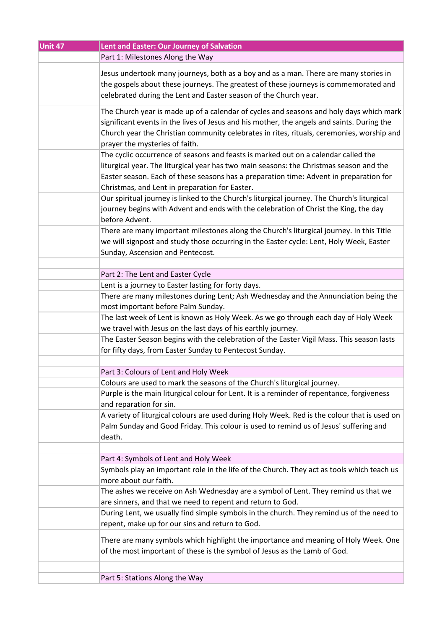| Unit 47 | Lent and Easter: Our Journey of Salvation                                                                                                                              |
|---------|------------------------------------------------------------------------------------------------------------------------------------------------------------------------|
|         | Part 1: Milestones Along the Way                                                                                                                                       |
|         | Jesus undertook many journeys, both as a boy and as a man. There are many stories in                                                                                   |
|         | the gospels about these journeys. The greatest of these journeys is commemorated and                                                                                   |
|         | celebrated during the Lent and Easter season of the Church year.                                                                                                       |
|         |                                                                                                                                                                        |
|         | The Church year is made up of a calendar of cycles and seasons and holy days which mark                                                                                |
|         | significant events in the lives of Jesus and his mother, the angels and saints. During the                                                                             |
|         | Church year the Christian community celebrates in rites, rituals, ceremonies, worship and                                                                              |
|         | prayer the mysteries of faith.                                                                                                                                         |
|         | The cyclic occurrence of seasons and feasts is marked out on a calendar called the                                                                                     |
|         | liturgical year. The liturgical year has two main seasons: the Christmas season and the                                                                                |
|         | Easter season. Each of these seasons has a preparation time: Advent in preparation for                                                                                 |
|         | Christmas, and Lent in preparation for Easter.                                                                                                                         |
|         | Our spiritual journey is linked to the Church's liturgical journey. The Church's liturgical                                                                            |
|         | journey begins with Advent and ends with the celebration of Christ the King, the day                                                                                   |
|         | before Advent.                                                                                                                                                         |
|         | There are many important milestones along the Church's liturgical journey. In this Title                                                                               |
|         | we will signpost and study those occurring in the Easter cycle: Lent, Holy Week, Easter                                                                                |
|         | Sunday, Ascension and Pentecost.                                                                                                                                       |
|         |                                                                                                                                                                        |
|         | Part 2: The Lent and Easter Cycle                                                                                                                                      |
|         | Lent is a journey to Easter lasting for forty days.                                                                                                                    |
|         | There are many milestones during Lent; Ash Wednesday and the Annunciation being the                                                                                    |
|         | most important before Palm Sunday.                                                                                                                                     |
|         | The last week of Lent is known as Holy Week. As we go through each day of Holy Week                                                                                    |
|         | we travel with Jesus on the last days of his earthly journey.                                                                                                          |
|         | The Easter Season begins with the celebration of the Easter Vigil Mass. This season lasts                                                                              |
|         | for fifty days, from Easter Sunday to Pentecost Sunday.                                                                                                                |
|         |                                                                                                                                                                        |
|         | Part 3: Colours of Lent and Holy Week                                                                                                                                  |
|         | Colours are used to mark the seasons of the Church's liturgical journey.<br>Purple is the main liturgical colour for Lent. It is a reminder of repentance, forgiveness |
|         | and reparation for sin.                                                                                                                                                |
|         | A variety of liturgical colours are used during Holy Week. Red is the colour that is used on                                                                           |
|         | Palm Sunday and Good Friday. This colour is used to remind us of Jesus' suffering and                                                                                  |
|         | death.                                                                                                                                                                 |
|         |                                                                                                                                                                        |
|         | Part 4: Symbols of Lent and Holy Week                                                                                                                                  |
|         | Symbols play an important role in the life of the Church. They act as tools which teach us                                                                             |
|         | more about our faith.                                                                                                                                                  |
|         | The ashes we receive on Ash Wednesday are a symbol of Lent. They remind us that we                                                                                     |
|         | are sinners, and that we need to repent and return to God.                                                                                                             |
|         | During Lent, we usually find simple symbols in the church. They remind us of the need to                                                                               |
|         | repent, make up for our sins and return to God.                                                                                                                        |
|         | There are many symbols which highlight the importance and meaning of Holy Week. One                                                                                    |
|         | of the most important of these is the symbol of Jesus as the Lamb of God.                                                                                              |
|         |                                                                                                                                                                        |
|         |                                                                                                                                                                        |
|         | Part 5: Stations Along the Way                                                                                                                                         |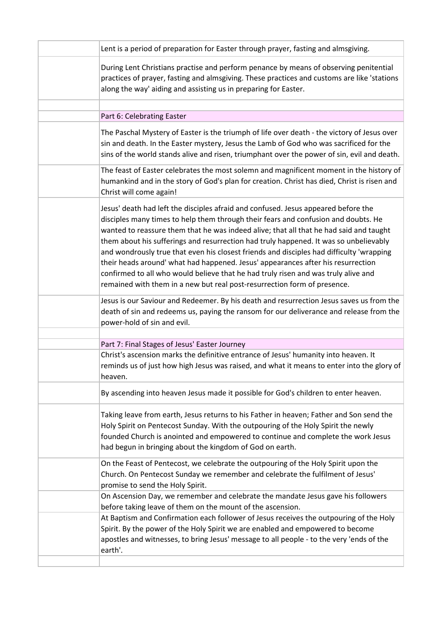| Lent is a period of preparation for Easter through prayer, fasting and almsgiving.                                                                                                                                                                                                                                                                                                                                                                                                                                                                                                                                                                                                                            |
|---------------------------------------------------------------------------------------------------------------------------------------------------------------------------------------------------------------------------------------------------------------------------------------------------------------------------------------------------------------------------------------------------------------------------------------------------------------------------------------------------------------------------------------------------------------------------------------------------------------------------------------------------------------------------------------------------------------|
| During Lent Christians practise and perform penance by means of observing penitential<br>practices of prayer, fasting and almsgiving. These practices and customs are like 'stations<br>along the way' aiding and assisting us in preparing for Easter.                                                                                                                                                                                                                                                                                                                                                                                                                                                       |
|                                                                                                                                                                                                                                                                                                                                                                                                                                                                                                                                                                                                                                                                                                               |
| Part 6: Celebrating Easter                                                                                                                                                                                                                                                                                                                                                                                                                                                                                                                                                                                                                                                                                    |
| The Paschal Mystery of Easter is the triumph of life over death - the victory of Jesus over<br>sin and death. In the Easter mystery, Jesus the Lamb of God who was sacrificed for the<br>sins of the world stands alive and risen, triumphant over the power of sin, evil and death.                                                                                                                                                                                                                                                                                                                                                                                                                          |
| The feast of Easter celebrates the most solemn and magnificent moment in the history of<br>humankind and in the story of God's plan for creation. Christ has died, Christ is risen and<br>Christ will come again!                                                                                                                                                                                                                                                                                                                                                                                                                                                                                             |
| Jesus' death had left the disciples afraid and confused. Jesus appeared before the<br>disciples many times to help them through their fears and confusion and doubts. He<br>wanted to reassure them that he was indeed alive; that all that he had said and taught<br>them about his sufferings and resurrection had truly happened. It was so unbelievably<br>and wondrously true that even his closest friends and disciples had difficulty 'wrapping<br>their heads around' what had happened. Jesus' appearances after his resurrection<br>confirmed to all who would believe that he had truly risen and was truly alive and<br>remained with them in a new but real post-resurrection form of presence. |
| Jesus is our Saviour and Redeemer. By his death and resurrection Jesus saves us from the<br>death of sin and redeems us, paying the ransom for our deliverance and release from the<br>power-hold of sin and evil.                                                                                                                                                                                                                                                                                                                                                                                                                                                                                            |
|                                                                                                                                                                                                                                                                                                                                                                                                                                                                                                                                                                                                                                                                                                               |
| Part 7: Final Stages of Jesus' Easter Journey<br>Christ's ascension marks the definitive entrance of Jesus' humanity into heaven. It<br>reminds us of just how high Jesus was raised, and what it means to enter into the glory of<br>neaven.                                                                                                                                                                                                                                                                                                                                                                                                                                                                 |
| By ascending into heaven Jesus made it possible for God's children to enter heaven.                                                                                                                                                                                                                                                                                                                                                                                                                                                                                                                                                                                                                           |
| Taking leave from earth, Jesus returns to his Father in heaven; Father and Son send the<br>Holy Spirit on Pentecost Sunday. With the outpouring of the Holy Spirit the newly<br>founded Church is anointed and empowered to continue and complete the work Jesus<br>had begun in bringing about the kingdom of God on earth.                                                                                                                                                                                                                                                                                                                                                                                  |
| On the Feast of Pentecost, we celebrate the outpouring of the Holy Spirit upon the<br>Church. On Pentecost Sunday we remember and celebrate the fulfilment of Jesus'<br>promise to send the Holy Spirit.                                                                                                                                                                                                                                                                                                                                                                                                                                                                                                      |
| On Ascension Day, we remember and celebrate the mandate Jesus gave his followers<br>before taking leave of them on the mount of the ascension.                                                                                                                                                                                                                                                                                                                                                                                                                                                                                                                                                                |
| At Baptism and Confirmation each follower of Jesus receives the outpouring of the Holy<br>Spirit. By the power of the Holy Spirit we are enabled and empowered to become<br>apostles and witnesses, to bring Jesus' message to all people - to the very 'ends of the<br>earth'.                                                                                                                                                                                                                                                                                                                                                                                                                               |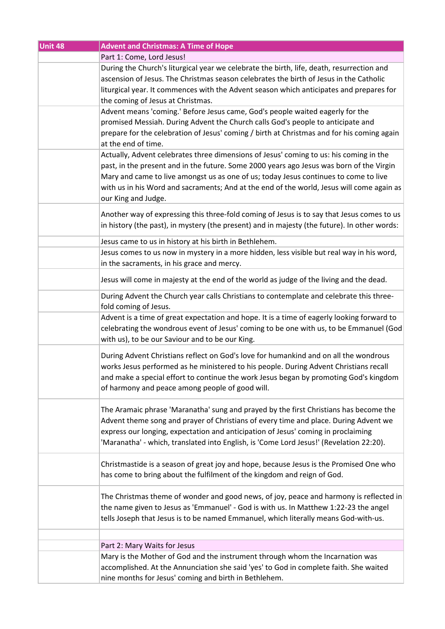| Unit 48 | <b>Advent and Christmas: A Time of Hope</b>                                                                                                                                                                                                                                                                                                                                                    |
|---------|------------------------------------------------------------------------------------------------------------------------------------------------------------------------------------------------------------------------------------------------------------------------------------------------------------------------------------------------------------------------------------------------|
|         | Part 1: Come, Lord Jesus!                                                                                                                                                                                                                                                                                                                                                                      |
|         | During the Church's liturgical year we celebrate the birth, life, death, resurrection and<br>ascension of Jesus. The Christmas season celebrates the birth of Jesus in the Catholic<br>liturgical year. It commences with the Advent season which anticipates and prepares for<br>the coming of Jesus at Christmas.                                                                            |
|         | Advent means 'coming.' Before Jesus came, God's people waited eagerly for the<br>promised Messiah. During Advent the Church calls God's people to anticipate and<br>prepare for the celebration of Jesus' coming / birth at Christmas and for his coming again<br>at the end of time.                                                                                                          |
|         | Actually, Advent celebrates three dimensions of Jesus' coming to us: his coming in the<br>past, in the present and in the future. Some 2000 years ago Jesus was born of the Virgin<br>Mary and came to live amongst us as one of us; today Jesus continues to come to live<br>with us in his Word and sacraments; And at the end of the world, Jesus will come again as<br>our King and Judge. |
|         | Another way of expressing this three-fold coming of Jesus is to say that Jesus comes to us<br>in history (the past), in mystery (the present) and in majesty (the future). In other words:                                                                                                                                                                                                     |
|         | Jesus came to us in history at his birth in Bethlehem.                                                                                                                                                                                                                                                                                                                                         |
|         | Jesus comes to us now in mystery in a more hidden, less visible but real way in his word,<br>in the sacraments, in his grace and mercy.                                                                                                                                                                                                                                                        |
|         | Jesus will come in majesty at the end of the world as judge of the living and the dead.                                                                                                                                                                                                                                                                                                        |
|         | During Advent the Church year calls Christians to contemplate and celebrate this three-<br>fold coming of Jesus.                                                                                                                                                                                                                                                                               |
|         | Advent is a time of great expectation and hope. It is a time of eagerly looking forward to<br>celebrating the wondrous event of Jesus' coming to be one with us, to be Emmanuel (God<br>with us), to be our Saviour and to be our King.                                                                                                                                                        |
|         | During Advent Christians reflect on God's love for humankind and on all the wondrous<br>works Jesus performed as he ministered to his people. During Advent Christians recall<br>and make a special effort to continue the work Jesus began by promoting God's kingdom<br>of harmony and peace among people of good will.                                                                      |
|         | The Aramaic phrase 'Maranatha' sung and prayed by the first Christians has become the<br>Advent theme song and prayer of Christians of every time and place. During Advent we<br>express our longing, expectation and anticipation of Jesus' coming in proclaiming<br>'Maranatha' - which, translated into English, is 'Come Lord Jesus!' (Revelation 22:20).                                  |
|         | Christmastide is a season of great joy and hope, because Jesus is the Promised One who<br>has come to bring about the fulfilment of the kingdom and reign of God.                                                                                                                                                                                                                              |
|         | The Christmas theme of wonder and good news, of joy, peace and harmony is reflected in<br>the name given to Jesus as 'Emmanuel' - God is with us. In Matthew 1:22-23 the angel<br>tells Joseph that Jesus is to be named Emmanuel, which literally means God-with-us.                                                                                                                          |
|         |                                                                                                                                                                                                                                                                                                                                                                                                |
|         | Part 2: Mary Waits for Jesus<br>Mary is the Mother of God and the instrument through whom the Incarnation was<br>accomplished. At the Annunciation she said 'yes' to God in complete faith. She waited<br>nine months for Jesus' coming and birth in Bethlehem.                                                                                                                                |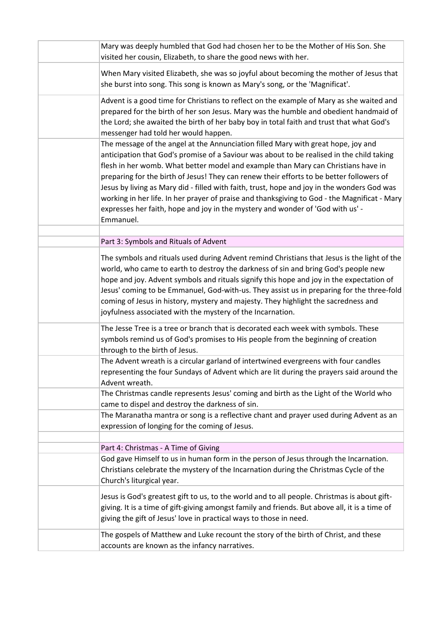| Mary was deeply humbled that God had chosen her to be the Mother of His Son. She<br>visited her cousin, Elizabeth, to share the good news with her.                                                                                                                                                                                                                                                                                                                                                                                                                                                                                                           |
|---------------------------------------------------------------------------------------------------------------------------------------------------------------------------------------------------------------------------------------------------------------------------------------------------------------------------------------------------------------------------------------------------------------------------------------------------------------------------------------------------------------------------------------------------------------------------------------------------------------------------------------------------------------|
| When Mary visited Elizabeth, she was so joyful about becoming the mother of Jesus that<br>she burst into song. This song is known as Mary's song, or the 'Magnificat'.                                                                                                                                                                                                                                                                                                                                                                                                                                                                                        |
| Advent is a good time for Christians to reflect on the example of Mary as she waited and<br>prepared for the birth of her son Jesus. Mary was the humble and obedient handmaid of<br>the Lord; she awaited the birth of her baby boy in total faith and trust that what God's<br>messenger had told her would happen.                                                                                                                                                                                                                                                                                                                                         |
| The message of the angel at the Annunciation filled Mary with great hope, joy and<br>anticipation that God's promise of a Saviour was about to be realised in the child taking<br>flesh in her womb. What better model and example than Mary can Christians have in<br>preparing for the birth of Jesus! They can renew their efforts to be better followers of<br>Jesus by living as Mary did - filled with faith, trust, hope and joy in the wonders God was<br>working in her life. In her prayer of praise and thanksgiving to God - the Magnificat - Mary<br>expresses her faith, hope and joy in the mystery and wonder of 'God with us' -<br>Emmanuel. |
| Part 3: Symbols and Rituals of Advent                                                                                                                                                                                                                                                                                                                                                                                                                                                                                                                                                                                                                         |
| The symbols and rituals used during Advent remind Christians that Jesus is the light of the<br>world, who came to earth to destroy the darkness of sin and bring God's people new<br>hope and joy. Advent symbols and rituals signify this hope and joy in the expectation of<br>Jesus' coming to be Emmanuel, God-with-us. They assist us in preparing for the three-fold<br>coming of Jesus in history, mystery and majesty. They highlight the sacredness and<br>joyfulness associated with the mystery of the Incarnation.                                                                                                                                |
| The Jesse Tree is a tree or branch that is decorated each week with symbols. These<br>symbols remind us of God's promises to His people from the beginning of creation<br>through to the birth of Jesus.                                                                                                                                                                                                                                                                                                                                                                                                                                                      |
| The Advent wreath is a circular garland of intertwined evergreens with four candles<br>representing the four Sundays of Advent which are lit during the prayers said around the<br>Advent wreath.                                                                                                                                                                                                                                                                                                                                                                                                                                                             |
| The Christmas candle represents Jesus' coming and birth as the Light of the World who<br>came to dispel and destroy the darkness of sin.                                                                                                                                                                                                                                                                                                                                                                                                                                                                                                                      |
| The Maranatha mantra or song is a reflective chant and prayer used during Advent as an<br>expression of longing for the coming of Jesus.                                                                                                                                                                                                                                                                                                                                                                                                                                                                                                                      |
| Part 4: Christmas - A Time of Giving                                                                                                                                                                                                                                                                                                                                                                                                                                                                                                                                                                                                                          |
| God gave Himself to us in human form in the person of Jesus through the Incarnation.<br>Christians celebrate the mystery of the Incarnation during the Christmas Cycle of the<br>Church's liturgical year.                                                                                                                                                                                                                                                                                                                                                                                                                                                    |
| Jesus is God's greatest gift to us, to the world and to all people. Christmas is about gift-<br>giving. It is a time of gift-giving amongst family and friends. But above all, it is a time of<br>giving the gift of Jesus' love in practical ways to those in need.                                                                                                                                                                                                                                                                                                                                                                                          |
| The gospels of Matthew and Luke recount the story of the birth of Christ, and these<br>accounts are known as the infancy narratives.                                                                                                                                                                                                                                                                                                                                                                                                                                                                                                                          |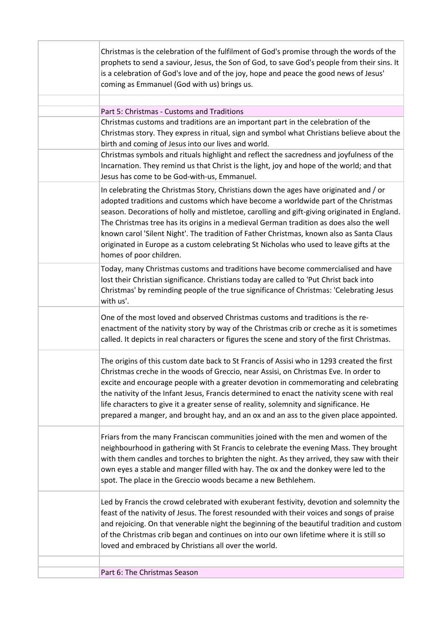| Christmas is the celebration of the fulfilment of God's promise through the words of the<br>prophets to send a saviour, Jesus, the Son of God, to save God's people from their sins. It<br>is a celebration of God's love and of the joy, hope and peace the good news of Jesus'<br>coming as Emmanuel (God with us) brings us.                                                                                                                                                                                                                                                          |
|------------------------------------------------------------------------------------------------------------------------------------------------------------------------------------------------------------------------------------------------------------------------------------------------------------------------------------------------------------------------------------------------------------------------------------------------------------------------------------------------------------------------------------------------------------------------------------------|
|                                                                                                                                                                                                                                                                                                                                                                                                                                                                                                                                                                                          |
| Part 5: Christmas - Customs and Traditions<br>Christmas customs and traditions are an important part in the celebration of the<br>Christmas story. They express in ritual, sign and symbol what Christians believe about the<br>birth and coming of Jesus into our lives and world.                                                                                                                                                                                                                                                                                                      |
| Christmas symbols and rituals highlight and reflect the sacredness and joyfulness of the<br>Incarnation. They remind us that Christ is the light, joy and hope of the world; and that<br>Jesus has come to be God-with-us, Emmanuel.                                                                                                                                                                                                                                                                                                                                                     |
| In celebrating the Christmas Story, Christians down the ages have originated and / or<br>adopted traditions and customs which have become a worldwide part of the Christmas<br>season. Decorations of holly and mistletoe, carolling and gift-giving originated in England.<br>The Christmas tree has its origins in a medieval German tradition as does also the well<br>known carol 'Silent Night'. The tradition of Father Christmas, known also as Santa Claus<br>originated in Europe as a custom celebrating St Nicholas who used to leave gifts at the<br>homes of poor children. |
| Today, many Christmas customs and traditions have become commercialised and have<br>lost their Christian significance. Christians today are called to 'Put Christ back into<br>Christmas' by reminding people of the true significance of Christmas: 'Celebrating Jesus<br>with us'.                                                                                                                                                                                                                                                                                                     |
| One of the most loved and observed Christmas customs and traditions is the re-<br>enactment of the nativity story by way of the Christmas crib or creche as it is sometimes<br>called. It depicts in real characters or figures the scene and story of the first Christmas.                                                                                                                                                                                                                                                                                                              |
| The origins of this custom date back to St Francis of Assisi who in 1293 created the first<br>Christmas creche in the woods of Greccio, near Assisi, on Christmas Eve. In order to<br>excite and encourage people with a greater devotion in commemorating and celebrating<br>the nativity of the Infant Jesus, Francis determined to enact the nativity scene with real<br>life characters to give it a greater sense of reality, solemnity and significance. He<br>prepared a manger, and brought hay, and an ox and an ass to the given place appointed.                              |
| Friars from the many Franciscan communities joined with the men and women of the<br>neighbourhood in gathering with St Francis to celebrate the evening Mass. They brought<br>with them candles and torches to brighten the night. As they arrived, they saw with their<br>own eyes a stable and manger filled with hay. The ox and the donkey were led to the<br>spot. The place in the Greccio woods became a new Bethlehem.                                                                                                                                                           |
| Led by Francis the crowd celebrated with exuberant festivity, devotion and solemnity the<br>feast of the nativity of Jesus. The forest resounded with their voices and songs of praise<br>and rejoicing. On that venerable night the beginning of the beautiful tradition and custom<br>of the Christmas crib began and continues on into our own lifetime where it is still so<br>loved and embraced by Christians all over the world.                                                                                                                                                  |
| Part 6: The Christmas Season                                                                                                                                                                                                                                                                                                                                                                                                                                                                                                                                                             |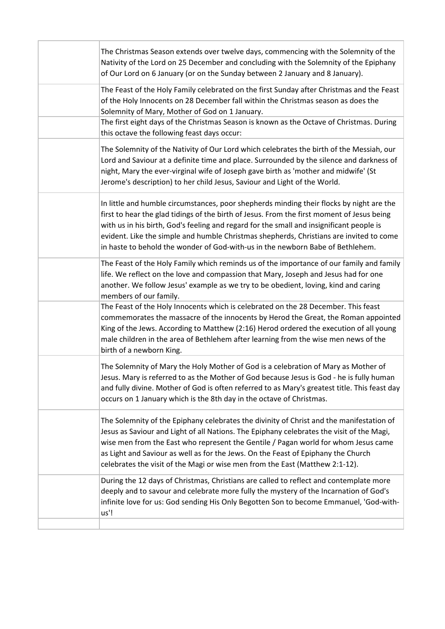| The Christmas Season extends over twelve days, commencing with the Solemnity of the<br>Nativity of the Lord on 25 December and concluding with the Solemnity of the Epiphany<br>of Our Lord on 6 January (or on the Sunday between 2 January and 8 January).                                                                                                                                                                                                    |
|-----------------------------------------------------------------------------------------------------------------------------------------------------------------------------------------------------------------------------------------------------------------------------------------------------------------------------------------------------------------------------------------------------------------------------------------------------------------|
| The Feast of the Holy Family celebrated on the first Sunday after Christmas and the Feast<br>of the Holy Innocents on 28 December fall within the Christmas season as does the<br>Solemnity of Mary, Mother of God on 1 January.                                                                                                                                                                                                                                |
| The first eight days of the Christmas Season is known as the Octave of Christmas. During<br>this octave the following feast days occur:                                                                                                                                                                                                                                                                                                                         |
| The Solemnity of the Nativity of Our Lord which celebrates the birth of the Messiah, our<br>Lord and Saviour at a definite time and place. Surrounded by the silence and darkness of<br>night, Mary the ever-virginal wife of Joseph gave birth as 'mother and midwife' (St<br>Jerome's description) to her child Jesus, Saviour and Light of the World.                                                                                                        |
| In little and humble circumstances, poor shepherds minding their flocks by night are the<br>first to hear the glad tidings of the birth of Jesus. From the first moment of Jesus being<br>with us in his birth, God's feeling and regard for the small and insignificant people is<br>evident. Like the simple and humble Christmas shepherds, Christians are invited to come<br>in haste to behold the wonder of God-with-us in the newborn Babe of Bethlehem. |
| The Feast of the Holy Family which reminds us of the importance of our family and family<br>life. We reflect on the love and compassion that Mary, Joseph and Jesus had for one<br>another. We follow Jesus' example as we try to be obedient, loving, kind and caring<br>members of our family.                                                                                                                                                                |
| The Feast of the Holy Innocents which is celebrated on the 28 December. This feast<br>commemorates the massacre of the innocents by Herod the Great, the Roman appointed<br>King of the Jews. According to Matthew (2:16) Herod ordered the execution of all young<br>male children in the area of Bethlehem after learning from the wise men news of the<br>birth of a newborn King.                                                                           |
| The Solemnity of Mary the Holy Mother of God is a celebration of Mary as Mother of<br>Jesus. Mary is referred to as the Mother of God because Jesus is God - he is fully human<br>and fully divine. Mother of God is often referred to as Mary's greatest title. This feast day<br>occurs on 1 January which is the 8th day in the octave of Christmas.                                                                                                         |
| The Solemnity of the Epiphany celebrates the divinity of Christ and the manifestation of<br>Jesus as Saviour and Light of all Nations. The Epiphany celebrates the visit of the Magi,<br>wise men from the East who represent the Gentile / Pagan world for whom Jesus came<br>as Light and Saviour as well as for the Jews. On the Feast of Epiphany the Church<br>celebrates the visit of the Magi or wise men from the East (Matthew 2:1-12).                |
| During the 12 days of Christmas, Christians are called to reflect and contemplate more<br>deeply and to savour and celebrate more fully the mystery of the Incarnation of God's<br>infinite love for us: God sending His Only Begotten Son to become Emmanuel, 'God-with-<br>us'!                                                                                                                                                                               |
|                                                                                                                                                                                                                                                                                                                                                                                                                                                                 |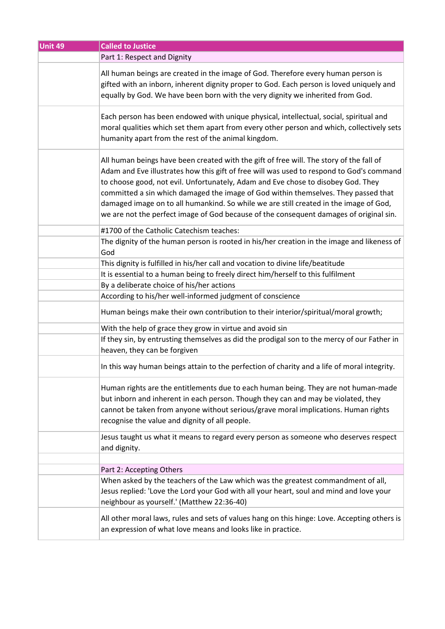| Unit 49 | <b>Called to Justice</b>                                                                                                                                                                                                                                                                                                                                                                                                                                                                                                                         |
|---------|--------------------------------------------------------------------------------------------------------------------------------------------------------------------------------------------------------------------------------------------------------------------------------------------------------------------------------------------------------------------------------------------------------------------------------------------------------------------------------------------------------------------------------------------------|
|         | Part 1: Respect and Dignity                                                                                                                                                                                                                                                                                                                                                                                                                                                                                                                      |
|         | All human beings are created in the image of God. Therefore every human person is<br>gifted with an inborn, inherent dignity proper to God. Each person is loved uniquely and<br>equally by God. We have been born with the very dignity we inherited from God.                                                                                                                                                                                                                                                                                  |
|         | Each person has been endowed with unique physical, intellectual, social, spiritual and<br>moral qualities which set them apart from every other person and which, collectively sets<br>humanity apart from the rest of the animal kingdom.                                                                                                                                                                                                                                                                                                       |
|         | All human beings have been created with the gift of free will. The story of the fall of<br>Adam and Eve illustrates how this gift of free will was used to respond to God's command<br>to choose good, not evil. Unfortunately, Adam and Eve chose to disobey God. They<br>committed a sin which damaged the image of God within themselves. They passed that<br>damaged image on to all humankind. So while we are still created in the image of God,<br>we are not the perfect image of God because of the consequent damages of original sin. |
|         | #1700 of the Catholic Catechism teaches:                                                                                                                                                                                                                                                                                                                                                                                                                                                                                                         |
|         | The dignity of the human person is rooted in his/her creation in the image and likeness of<br>God                                                                                                                                                                                                                                                                                                                                                                                                                                                |
|         | This dignity is fulfilled in his/her call and vocation to divine life/beatitude                                                                                                                                                                                                                                                                                                                                                                                                                                                                  |
|         | It is essential to a human being to freely direct him/herself to this fulfilment                                                                                                                                                                                                                                                                                                                                                                                                                                                                 |
|         | By a deliberate choice of his/her actions                                                                                                                                                                                                                                                                                                                                                                                                                                                                                                        |
|         | According to his/her well-informed judgment of conscience                                                                                                                                                                                                                                                                                                                                                                                                                                                                                        |
|         | Human beings make their own contribution to their interior/spiritual/moral growth;                                                                                                                                                                                                                                                                                                                                                                                                                                                               |
|         | With the help of grace they grow in virtue and avoid sin                                                                                                                                                                                                                                                                                                                                                                                                                                                                                         |
|         | If they sin, by entrusting themselves as did the prodigal son to the mercy of our Father in<br>heaven, they can be forgiven                                                                                                                                                                                                                                                                                                                                                                                                                      |
|         | In this way human beings attain to the perfection of charity and a life of moral integrity.                                                                                                                                                                                                                                                                                                                                                                                                                                                      |
|         | Human rights are the entitlements due to each human being. They are not human-made<br>but inborn and inherent in each person. Though they can and may be violated, they<br>cannot be taken from anyone without serious/grave moral implications. Human rights<br>recognise the value and dignity of all people.                                                                                                                                                                                                                                  |
|         | Jesus taught us what it means to regard every person as someone who deserves respect<br>and dignity.                                                                                                                                                                                                                                                                                                                                                                                                                                             |
|         |                                                                                                                                                                                                                                                                                                                                                                                                                                                                                                                                                  |
|         | Part 2: Accepting Others                                                                                                                                                                                                                                                                                                                                                                                                                                                                                                                         |
|         | When asked by the teachers of the Law which was the greatest commandment of all,<br>Jesus replied: 'Love the Lord your God with all your heart, soul and mind and love your<br>neighbour as yourself.' (Matthew 22:36-40)                                                                                                                                                                                                                                                                                                                        |
|         | All other moral laws, rules and sets of values hang on this hinge: Love. Accepting others is<br>an expression of what love means and looks like in practice.                                                                                                                                                                                                                                                                                                                                                                                     |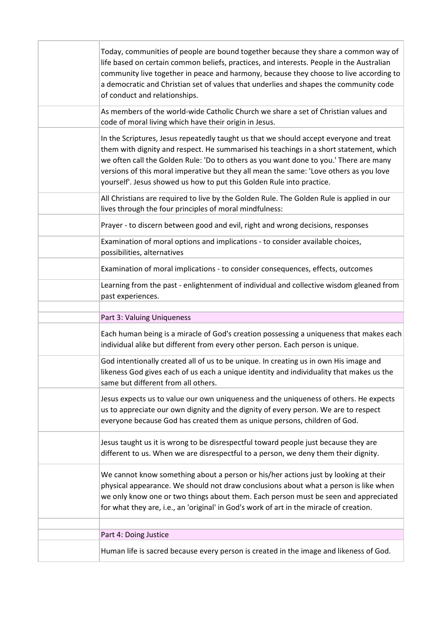| Today, communities of people are bound together because they share a common way of<br>life based on certain common beliefs, practices, and interests. People in the Australian<br>community live together in peace and harmony, because they choose to live according to<br>a democratic and Christian set of values that underlies and shapes the community code<br>of conduct and relationships.                                           |
|----------------------------------------------------------------------------------------------------------------------------------------------------------------------------------------------------------------------------------------------------------------------------------------------------------------------------------------------------------------------------------------------------------------------------------------------|
| As members of the world-wide Catholic Church we share a set of Christian values and<br>code of moral living which have their origin in Jesus.                                                                                                                                                                                                                                                                                                |
| In the Scriptures, Jesus repeatedly taught us that we should accept everyone and treat<br>them with dignity and respect. He summarised his teachings in a short statement, which<br>we often call the Golden Rule: 'Do to others as you want done to you.' There are many<br>versions of this moral imperative but they all mean the same: 'Love others as you love<br>yourself'. Jesus showed us how to put this Golden Rule into practice. |
| All Christians are required to live by the Golden Rule. The Golden Rule is applied in our<br>lives through the four principles of moral mindfulness:                                                                                                                                                                                                                                                                                         |
| Prayer - to discern between good and evil, right and wrong decisions, responses                                                                                                                                                                                                                                                                                                                                                              |
| Examination of moral options and implications - to consider available choices,<br>possibilities, alternatives                                                                                                                                                                                                                                                                                                                                |
| Examination of moral implications - to consider consequences, effects, outcomes                                                                                                                                                                                                                                                                                                                                                              |
| Learning from the past - enlightenment of individual and collective wisdom gleaned from<br>past experiences.                                                                                                                                                                                                                                                                                                                                 |
| Part 3: Valuing Uniqueness                                                                                                                                                                                                                                                                                                                                                                                                                   |
| Each human being is a miracle of God's creation possessing a uniqueness that makes each<br>individual alike but different from every other person. Each person is unique.                                                                                                                                                                                                                                                                    |
| God intentionally created all of us to be unique. In creating us in own His image and<br>likeness God gives each of us each a unique identity and individuality that makes us the<br>same but different from all others.                                                                                                                                                                                                                     |
| Jesus expects us to value our own uniqueness and the uniqueness of others. He expects<br>us to appreciate our own dignity and the dignity of every person. We are to respect<br>everyone because God has created them as unique persons, children of God.                                                                                                                                                                                    |
| Jesus taught us it is wrong to be disrespectful toward people just because they are<br>different to us. When we are disrespectful to a person, we deny them their dignity.                                                                                                                                                                                                                                                                   |
|                                                                                                                                                                                                                                                                                                                                                                                                                                              |
| We cannot know something about a person or his/her actions just by looking at their<br>physical appearance. We should not draw conclusions about what a person is like when<br>we only know one or two things about them. Each person must be seen and appreciated<br>for what they are, i.e., an 'original' in God's work of art in the miracle of creation.                                                                                |
| Part 4: Doing Justice                                                                                                                                                                                                                                                                                                                                                                                                                        |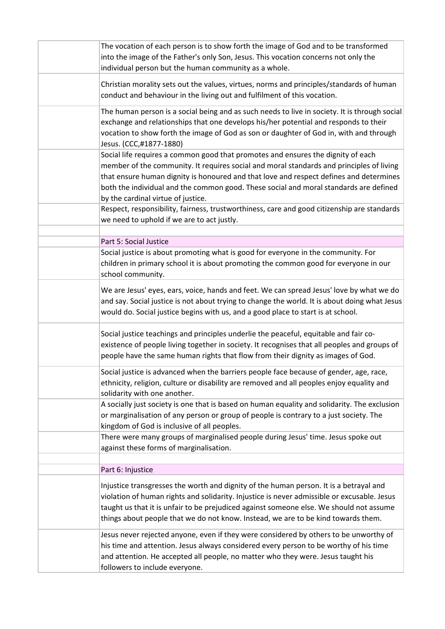| The vocation of each person is to show forth the image of God and to be transformed<br>into the image of the Father's only Son, Jesus. This vocation concerns not only the<br>individual person but the human community as a whole.                                                                                                                                                                   |
|-------------------------------------------------------------------------------------------------------------------------------------------------------------------------------------------------------------------------------------------------------------------------------------------------------------------------------------------------------------------------------------------------------|
| Christian morality sets out the values, virtues, norms and principles/standards of human<br>conduct and behaviour in the living out and fulfilment of this vocation.                                                                                                                                                                                                                                  |
| The human person is a social being and as such needs to live in society. It is through social<br>exchange and relationships that one develops his/her potential and responds to their<br>vocation to show forth the image of God as son or daughter of God in, with and through<br>Jesus. (CCC,#1877-1880)                                                                                            |
| Social life requires a common good that promotes and ensures the dignity of each<br>member of the community. It requires social and moral standards and principles of living<br>that ensure human dignity is honoured and that love and respect defines and determines<br>both the individual and the common good. These social and moral standards are defined<br>by the cardinal virtue of justice. |
| Respect, responsibility, fairness, trustworthiness, care and good citizenship are standards<br>we need to uphold if we are to act justly.                                                                                                                                                                                                                                                             |
| Part 5: Social Justice                                                                                                                                                                                                                                                                                                                                                                                |
| Social justice is about promoting what is good for everyone in the community. For<br>children in primary school it is about promoting the common good for everyone in our<br>school community.                                                                                                                                                                                                        |
| We are Jesus' eyes, ears, voice, hands and feet. We can spread Jesus' love by what we do<br>and say. Social justice is not about trying to change the world. It is about doing what Jesus<br>would do. Social justice begins with us, and a good place to start is at school.                                                                                                                         |
| Social justice teachings and principles underlie the peaceful, equitable and fair co-<br>existence of people living together in society. It recognises that all peoples and groups of<br>people have the same human rights that flow from their dignity as images of God.                                                                                                                             |
| Social justice is advanced when the barriers people face because of gender, age, race,<br>ethnicity, religion, culture or disability are removed and all peoples enjoy equality and<br>solidarity with one another.                                                                                                                                                                                   |
| A socially just society is one that is based on human equality and solidarity. The exclusion<br>or marginalisation of any person or group of people is contrary to a just society. The<br>kingdom of God is inclusive of all peoples.                                                                                                                                                                 |
| There were many groups of marginalised people during Jesus' time. Jesus spoke out<br>against these forms of marginalisation.                                                                                                                                                                                                                                                                          |
| Part 6: Injustice                                                                                                                                                                                                                                                                                                                                                                                     |
| Injustice transgresses the worth and dignity of the human person. It is a betrayal and<br>violation of human rights and solidarity. Injustice is never admissible or excusable. Jesus<br>taught us that it is unfair to be prejudiced against someone else. We should not assume<br>things about people that we do not know. Instead, we are to be kind towards them.                                 |
| Jesus never rejected anyone, even if they were considered by others to be unworthy of<br>his time and attention. Jesus always considered every person to be worthy of his time<br>and attention. He accepted all people, no matter who they were. Jesus taught his<br>followers to include everyone.                                                                                                  |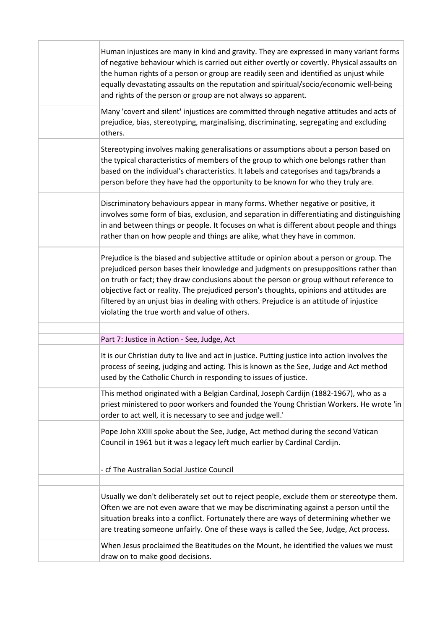| Human injustices are many in kind and gravity. They are expressed in many variant forms<br>of negative behaviour which is carried out either overtly or covertly. Physical assaults on<br>the human rights of a person or group are readily seen and identified as unjust while<br>equally devastating assaults on the reputation and spiritual/socio/economic well-being<br>and rights of the person or group are not always so apparent.                                                                        |
|-------------------------------------------------------------------------------------------------------------------------------------------------------------------------------------------------------------------------------------------------------------------------------------------------------------------------------------------------------------------------------------------------------------------------------------------------------------------------------------------------------------------|
| Many 'covert and silent' injustices are committed through negative attitudes and acts of<br>prejudice, bias, stereotyping, marginalising, discriminating, segregating and excluding<br>others.                                                                                                                                                                                                                                                                                                                    |
| Stereotyping involves making generalisations or assumptions about a person based on<br>the typical characteristics of members of the group to which one belongs rather than<br>based on the individual's characteristics. It labels and categorises and tags/brands a<br>person before they have had the opportunity to be known for who they truly are.                                                                                                                                                          |
| Discriminatory behaviours appear in many forms. Whether negative or positive, it<br>involves some form of bias, exclusion, and separation in differentiating and distinguishing<br>in and between things or people. It focuses on what is different about people and things<br>rather than on how people and things are alike, what they have in common.                                                                                                                                                          |
| Prejudice is the biased and subjective attitude or opinion about a person or group. The<br>prejudiced person bases their knowledge and judgments on presuppositions rather than<br>on truth or fact; they draw conclusions about the person or group without reference to<br>objective fact or reality. The prejudiced person's thoughts, opinions and attitudes are<br>filtered by an unjust bias in dealing with others. Prejudice is an attitude of injustice<br>violating the true worth and value of others. |
|                                                                                                                                                                                                                                                                                                                                                                                                                                                                                                                   |
| Part 7: Justice in Action - See, Judge, Act<br>It is our Christian duty to live and act in justice. Putting justice into action involves the<br>process of seeing, judging and acting. This is known as the See, Judge and Act method<br>used by the Catholic Church in responding to issues of justice.                                                                                                                                                                                                          |
| This method originated with a Belgian Cardinal, Joseph Cardijn (1882-1967), who as a<br>priest ministered to poor workers and founded the Young Christian Workers. He wrote 'in<br>order to act well, it is necessary to see and judge well.'                                                                                                                                                                                                                                                                     |
| Pope John XXIII spoke about the See, Judge, Act method during the second Vatican<br>Council in 1961 but it was a legacy left much earlier by Cardinal Cardijn.                                                                                                                                                                                                                                                                                                                                                    |
| - cf The Australian Social Justice Council                                                                                                                                                                                                                                                                                                                                                                                                                                                                        |
| Usually we don't deliberately set out to reject people, exclude them or stereotype them.<br>Often we are not even aware that we may be discriminating against a person until the<br>situation breaks into a conflict. Fortunately there are ways of determining whether we<br>are treating someone unfairly. One of these ways is called the See, Judge, Act process.<br>When Jesus proclaimed the Beatitudes on the Mount, he identified the values we must                                                      |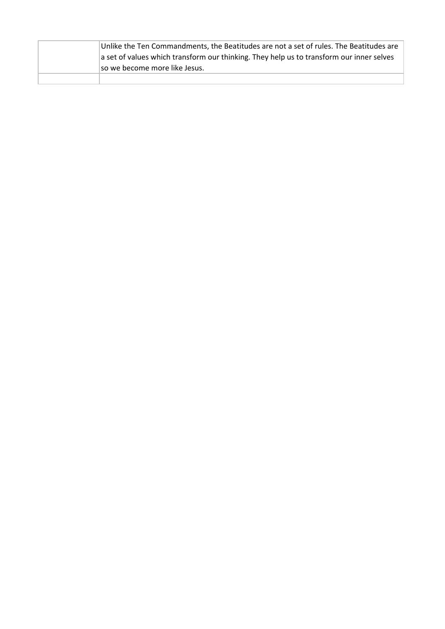| Unlike the Ten Commandments, the Beatitudes are not a set of rules. The Beatitudes are<br>a set of values which transform our thinking. They help us to transform our inner selves<br>so we become more like Jesus. |
|---------------------------------------------------------------------------------------------------------------------------------------------------------------------------------------------------------------------|
|                                                                                                                                                                                                                     |

ı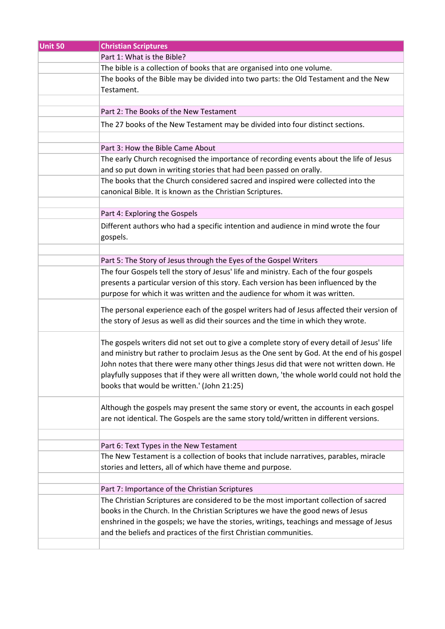| <b>Unit 50</b> | <b>Christian Scriptures</b>                                                                                                      |
|----------------|----------------------------------------------------------------------------------------------------------------------------------|
|                | Part 1: What is the Bible?                                                                                                       |
|                | The bible is a collection of books that are organised into one volume.                                                           |
|                | The books of the Bible may be divided into two parts: the Old Testament and the New                                              |
|                | Testament.                                                                                                                       |
|                |                                                                                                                                  |
|                | Part 2: The Books of the New Testament                                                                                           |
|                | The 27 books of the New Testament may be divided into four distinct sections.                                                    |
|                |                                                                                                                                  |
|                | Part 3: How the Bible Came About                                                                                                 |
|                | The early Church recognised the importance of recording events about the life of Jesus                                           |
|                | and so put down in writing stories that had been passed on orally.                                                               |
|                | The books that the Church considered sacred and inspired were collected into the                                                 |
|                | canonical Bible. It is known as the Christian Scriptures.                                                                        |
|                |                                                                                                                                  |
|                | Part 4: Exploring the Gospels                                                                                                    |
|                | Different authors who had a specific intention and audience in mind wrote the four                                               |
|                | gospels.                                                                                                                         |
|                |                                                                                                                                  |
|                | Part 5: The Story of Jesus through the Eyes of the Gospel Writers                                                                |
|                | The four Gospels tell the story of Jesus' life and ministry. Each of the four gospels                                            |
|                | presents a particular version of this story. Each version has been influenced by the                                             |
|                | purpose for which it was written and the audience for whom it was written.                                                       |
|                |                                                                                                                                  |
|                | The personal experience each of the gospel writers had of Jesus affected their version of                                        |
|                | the story of Jesus as well as did their sources and the time in which they wrote.                                                |
|                | The gospels writers did not set out to give a complete story of every detail of Jesus' life                                      |
|                | and ministry but rather to proclaim Jesus as the One sent by God. At the end of his gospel                                       |
|                | John notes that there were many other things Jesus did that were not written down. He                                            |
|                | playfully supposes that if they were all written down, 'the whole world could not hold the                                       |
|                | books that would be written.' (John 21:25)                                                                                       |
|                |                                                                                                                                  |
|                | Although the gospels may present the same story or event, the accounts in each gospel                                            |
|                | are not identical. The Gospels are the same story told/written in different versions.                                            |
|                |                                                                                                                                  |
|                |                                                                                                                                  |
|                | Part 6: Text Types in the New Testament<br>The New Testament is a collection of books that include narratives, parables, miracle |
|                | stories and letters, all of which have theme and purpose.                                                                        |
|                |                                                                                                                                  |
|                | Part 7: Importance of the Christian Scriptures                                                                                   |
|                | The Christian Scriptures are considered to be the most important collection of sacred                                            |
|                | books in the Church. In the Christian Scriptures we have the good news of Jesus                                                  |
|                | enshrined in the gospels; we have the stories, writings, teachings and message of Jesus                                          |
|                | and the beliefs and practices of the first Christian communities.                                                                |
|                |                                                                                                                                  |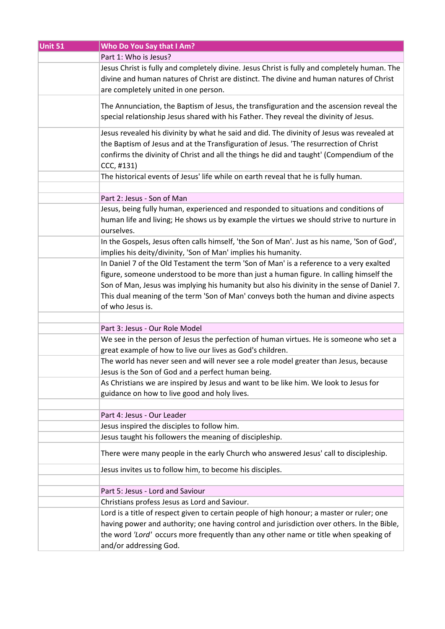| Unit 51 | Who Do You Say that I Am?                                                                                                                                                                                                                                                                     |
|---------|-----------------------------------------------------------------------------------------------------------------------------------------------------------------------------------------------------------------------------------------------------------------------------------------------|
|         | Part 1: Who is Jesus?                                                                                                                                                                                                                                                                         |
|         | Jesus Christ is fully and completely divine. Jesus Christ is fully and completely human. The<br>divine and human natures of Christ are distinct. The divine and human natures of Christ<br>are completely united in one person.                                                               |
|         | The Annunciation, the Baptism of Jesus, the transfiguration and the ascension reveal the<br>special relationship Jesus shared with his Father. They reveal the divinity of Jesus.                                                                                                             |
|         | Jesus revealed his divinity by what he said and did. The divinity of Jesus was revealed at<br>the Baptism of Jesus and at the Transfiguration of Jesus. 'The resurrection of Christ<br>confirms the divinity of Christ and all the things he did and taught' (Compendium of the<br>CCC, #131) |
|         | The historical events of Jesus' life while on earth reveal that he is fully human.                                                                                                                                                                                                            |
|         | Part 2: Jesus - Son of Man                                                                                                                                                                                                                                                                    |
|         |                                                                                                                                                                                                                                                                                               |
|         | Jesus, being fully human, experienced and responded to situations and conditions of<br>human life and living; He shows us by example the virtues we should strive to nurture in<br>ourselves.                                                                                                 |
|         | In the Gospels, Jesus often calls himself, 'the Son of Man'. Just as his name, 'Son of God',                                                                                                                                                                                                  |
|         | implies his deity/divinity, 'Son of Man' implies his humanity.                                                                                                                                                                                                                                |
|         | In Daniel 7 of the Old Testament the term 'Son of Man' is a reference to a very exalted                                                                                                                                                                                                       |
|         | figure, someone understood to be more than just a human figure. In calling himself the                                                                                                                                                                                                        |
|         | Son of Man, Jesus was implying his humanity but also his divinity in the sense of Daniel 7.                                                                                                                                                                                                   |
|         | This dual meaning of the term 'Son of Man' conveys both the human and divine aspects<br>of who Jesus is.                                                                                                                                                                                      |
|         |                                                                                                                                                                                                                                                                                               |
|         | Part 3: Jesus - Our Role Model                                                                                                                                                                                                                                                                |
|         | We see in the person of Jesus the perfection of human virtues. He is someone who set a<br>great example of how to live our lives as God's children.                                                                                                                                           |
|         | The world has never seen and will never see a role model greater than Jesus, because<br>Jesus is the Son of God and a perfect human being.                                                                                                                                                    |
|         | As Christians we are inspired by Jesus and want to be like him. We look to Jesus for<br>guidance on how to live good and holy lives.                                                                                                                                                          |
|         |                                                                                                                                                                                                                                                                                               |
|         | Part 4: Jesus - Our Leader                                                                                                                                                                                                                                                                    |
|         | Jesus inspired the disciples to follow him.                                                                                                                                                                                                                                                   |
|         | Jesus taught his followers the meaning of discipleship.                                                                                                                                                                                                                                       |
|         | There were many people in the early Church who answered Jesus' call to discipleship.                                                                                                                                                                                                          |
|         | Jesus invites us to follow him, to become his disciples.                                                                                                                                                                                                                                      |
|         |                                                                                                                                                                                                                                                                                               |
|         | Part 5: Jesus - Lord and Saviour                                                                                                                                                                                                                                                              |
|         | Christians profess Jesus as Lord and Saviour.                                                                                                                                                                                                                                                 |
|         | Lord is a title of respect given to certain people of high honour; a master or ruler; one                                                                                                                                                                                                     |
|         | having power and authority; one having control and jurisdiction over others. In the Bible,<br>the word 'Lord' occurs more frequently than any other name or title when speaking of                                                                                                            |
|         | and/or addressing God.                                                                                                                                                                                                                                                                        |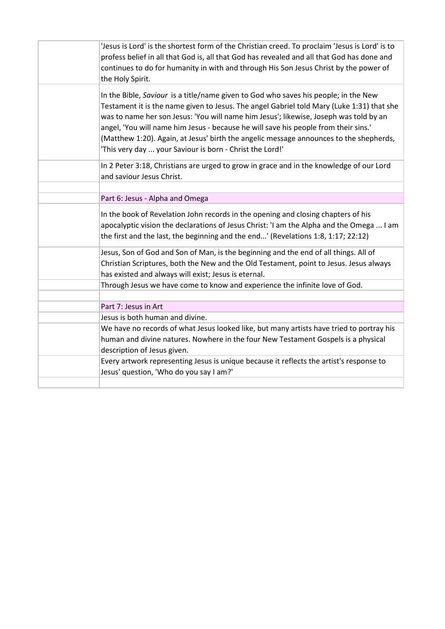| 'Jesus is Lord' is the shortest form of the Christian creed. To proclaim 'Jesus is Lord' is to<br>profess belief in all that God is, all that God has revealed and all that God has done and<br>continues to do for humanity in with and through His Son Jesus Christ by the power of<br>the Holy Spirit.                                                                                                                                                                                                              |
|------------------------------------------------------------------------------------------------------------------------------------------------------------------------------------------------------------------------------------------------------------------------------------------------------------------------------------------------------------------------------------------------------------------------------------------------------------------------------------------------------------------------|
| In the Bible, Saviour is a title/name given to God who saves his people; in the New<br>Testament it is the name given to Jesus. The angel Gabriel told Mary (Luke 1:31) that she<br>was to name her son Jesus: 'You will name him Jesus'; likewise, Joseph was told by an<br>angel, 'You will name him Jesus - because he will save his people from their sins.'<br>(Matthew 1:20). Again, at Jesus' birth the angelic message announces to the shepherds,<br>'This very day  your Saviour is born - Christ the Lord!' |
| In 2 Peter 3:18, Christians are urged to grow in grace and in the knowledge of our Lord<br>and saviour Jesus Christ.                                                                                                                                                                                                                                                                                                                                                                                                   |
| Part 6: Jesus - Alpha and Omega                                                                                                                                                                                                                                                                                                                                                                                                                                                                                        |
| In the book of Revelation John records in the opening and closing chapters of his<br>apocalyptic vision the declarations of Jesus Christ: 'I am the Alpha and the Omega  I am<br>the first and the last, the beginning and the end' (Revelations 1:8, 1:17; 22:12)                                                                                                                                                                                                                                                     |
| Jesus, Son of God and Son of Man, is the beginning and the end of all things. All of<br>Christian Scriptures, both the New and the Old Testament, point to Jesus. Jesus always<br>has existed and always will exist; Jesus is eternal.                                                                                                                                                                                                                                                                                 |
| Through Jesus we have come to know and experience the infinite love of God.                                                                                                                                                                                                                                                                                                                                                                                                                                            |
|                                                                                                                                                                                                                                                                                                                                                                                                                                                                                                                        |
| Part 7: Jesus in Art<br>Jesus is both human and divine.                                                                                                                                                                                                                                                                                                                                                                                                                                                                |
| We have no records of what Jesus looked like, but many artists have tried to portray his<br>human and divine natures. Nowhere in the four New Testament Gospels is a physical<br>description of Jesus given.                                                                                                                                                                                                                                                                                                           |
| Every artwork representing Jesus is unique because it reflects the artist's response to<br>Jesus' question, 'Who do you say I am?'                                                                                                                                                                                                                                                                                                                                                                                     |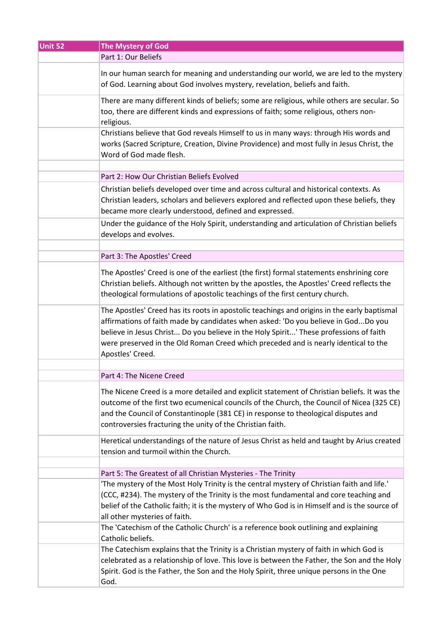| Unit 52 | <b>The Mystery of God</b>                                                                                                                                                                                                                                                                                                                                                            |
|---------|--------------------------------------------------------------------------------------------------------------------------------------------------------------------------------------------------------------------------------------------------------------------------------------------------------------------------------------------------------------------------------------|
|         | Part 1: Our Beliefs                                                                                                                                                                                                                                                                                                                                                                  |
|         | In our human search for meaning and understanding our world, we are led to the mystery<br>of God. Learning about God involves mystery, revelation, beliefs and faith.                                                                                                                                                                                                                |
|         | There are many different kinds of beliefs; some are religious, while others are secular. So<br>too, there are different kinds and expressions of faith; some religious, others non-<br>religious.                                                                                                                                                                                    |
|         | Christians believe that God reveals Himself to us in many ways: through His words and<br>works (Sacred Scripture, Creation, Divine Providence) and most fully in Jesus Christ, the<br>Word of God made flesh.                                                                                                                                                                        |
|         | Part 2: How Our Christian Beliefs Evolved                                                                                                                                                                                                                                                                                                                                            |
|         | Christian beliefs developed over time and across cultural and historical contexts. As<br>Christian leaders, scholars and believers explored and reflected upon these beliefs, they<br>became more clearly understood, defined and expressed.                                                                                                                                         |
|         | Under the guidance of the Holy Spirit, understanding and articulation of Christian beliefs<br>develops and evolves.                                                                                                                                                                                                                                                                  |
|         | Part 3: The Apostles' Creed                                                                                                                                                                                                                                                                                                                                                          |
|         |                                                                                                                                                                                                                                                                                                                                                                                      |
|         | The Apostles' Creed is one of the earliest (the first) formal statements enshrining core<br>Christian beliefs. Although not written by the apostles, the Apostles' Creed reflects the<br>theological formulations of apostolic teachings of the first century church.                                                                                                                |
|         | The Apostles' Creed has its roots in apostolic teachings and origins in the early baptismal<br>affirmations of faith made by candidates when asked: 'Do you believe in GodDo you<br>believe in Jesus Christ Do you believe in the Holy Spirit' These professions of faith<br>were preserved in the Old Roman Creed which preceded and is nearly identical to the<br>Apostles' Creed. |
|         |                                                                                                                                                                                                                                                                                                                                                                                      |
|         | Part 4: The Nicene Creed                                                                                                                                                                                                                                                                                                                                                             |
|         | The Nicene Creed is a more detailed and explicit statement of Christian beliefs. It was the<br>outcome of the first two ecumenical councils of the Church, the Council of Nicea (325 CE)<br>and the Council of Constantinople (381 CE) in response to theological disputes and<br>controversies fracturing the unity of the Christian faith.                                         |
|         | Heretical understandings of the nature of Jesus Christ as held and taught by Arius created<br>tension and turmoil within the Church.                                                                                                                                                                                                                                                 |
|         | Part 5: The Greatest of all Christian Mysteries - The Trinity                                                                                                                                                                                                                                                                                                                        |
|         | 'The mystery of the Most Holy Trinity is the central mystery of Christian faith and life.'                                                                                                                                                                                                                                                                                           |
|         | (CCC, #234). The mystery of the Trinity is the most fundamental and core teaching and<br>belief of the Catholic faith; it is the mystery of Who God is in Himself and is the source of                                                                                                                                                                                               |
|         | all other mysteries of faith.                                                                                                                                                                                                                                                                                                                                                        |
|         | The 'Catechism of the Catholic Church' is a reference book outlining and explaining<br>Catholic beliefs.                                                                                                                                                                                                                                                                             |
|         | The Catechism explains that the Trinity is a Christian mystery of faith in which God is                                                                                                                                                                                                                                                                                              |
|         | celebrated as a relationship of love. This love is between the Father, the Son and the Holy<br>Spirit. God is the Father, the Son and the Holy Spirit, three unique persons in the One                                                                                                                                                                                               |
|         | God.                                                                                                                                                                                                                                                                                                                                                                                 |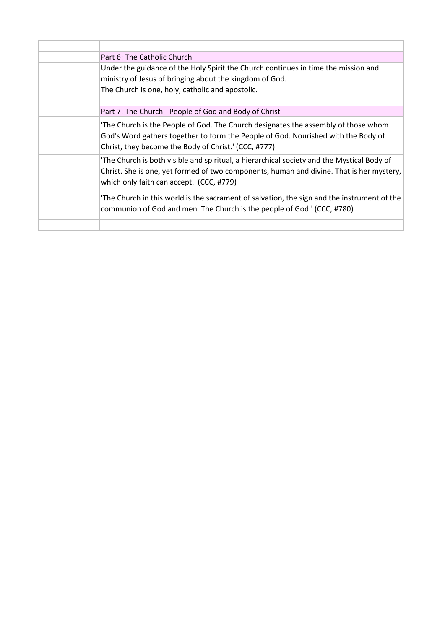| Part 6: The Catholic Church                                                                                                                                                                                                         |
|-------------------------------------------------------------------------------------------------------------------------------------------------------------------------------------------------------------------------------------|
| Under the guidance of the Holy Spirit the Church continues in time the mission and                                                                                                                                                  |
| ministry of Jesus of bringing about the kingdom of God.                                                                                                                                                                             |
| The Church is one, holy, catholic and apostolic.                                                                                                                                                                                    |
|                                                                                                                                                                                                                                     |
| Part 7: The Church - People of God and Body of Christ                                                                                                                                                                               |
| The Church is the People of God. The Church designates the assembly of those whom<br>God's Word gathers together to form the People of God. Nourished with the Body of<br>Christ, they become the Body of Christ.' (CCC, #777)      |
| 'The Church is both visible and spiritual, a hierarchical society and the Mystical Body of<br>Christ. She is one, yet formed of two components, human and divine. That is her mystery,<br>which only faith can accept.' (CCC, #779) |
| The Church in this world is the sacrament of salvation, the sign and the instrument of the<br>communion of God and men. The Church is the people of God.' (CCC, #780)                                                               |
|                                                                                                                                                                                                                                     |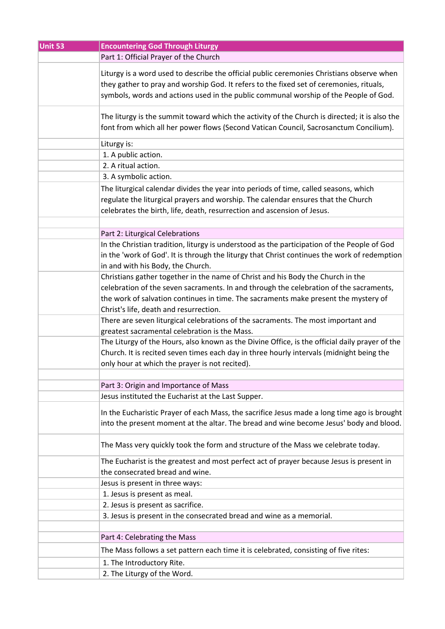| Unit 53 | <b>Encountering God Through Liturgy</b>                                                                                                                                                                                                                                      |
|---------|------------------------------------------------------------------------------------------------------------------------------------------------------------------------------------------------------------------------------------------------------------------------------|
|         | Part 1: Official Prayer of the Church                                                                                                                                                                                                                                        |
|         | Liturgy is a word used to describe the official public ceremonies Christians observe when<br>they gather to pray and worship God. It refers to the fixed set of ceremonies, rituals,<br>symbols, words and actions used in the public communal worship of the People of God. |
|         | The liturgy is the summit toward which the activity of the Church is directed; it is also the<br>font from which all her power flows (Second Vatican Council, Sacrosanctum Concilium).                                                                                       |
|         | Liturgy is:                                                                                                                                                                                                                                                                  |
|         | 1. A public action.                                                                                                                                                                                                                                                          |
|         | 2. A ritual action.                                                                                                                                                                                                                                                          |
|         | 3. A symbolic action.                                                                                                                                                                                                                                                        |
|         | The liturgical calendar divides the year into periods of time, called seasons, which<br>regulate the liturgical prayers and worship. The calendar ensures that the Church<br>celebrates the birth, life, death, resurrection and ascension of Jesus.                         |
|         |                                                                                                                                                                                                                                                                              |
|         | Part 2: Liturgical Celebrations                                                                                                                                                                                                                                              |
|         | In the Christian tradition, liturgy is understood as the participation of the People of God<br>in the 'work of God'. It is through the liturgy that Christ continues the work of redemption<br>in and with his Body, the Church.                                             |
|         | Christians gather together in the name of Christ and his Body the Church in the                                                                                                                                                                                              |
|         | celebration of the seven sacraments. In and through the celebration of the sacraments,<br>the work of salvation continues in time. The sacraments make present the mystery of<br>Christ's life, death and resurrection.                                                      |
|         | There are seven liturgical celebrations of the sacraments. The most important and<br>greatest sacramental celebration is the Mass.                                                                                                                                           |
|         | The Liturgy of the Hours, also known as the Divine Office, is the official daily prayer of the<br>Church. It is recited seven times each day in three hourly intervals (midnight being the<br>only hour at which the prayer is not recited).                                 |
|         |                                                                                                                                                                                                                                                                              |
|         | Part 3: Origin and Importance of Mass                                                                                                                                                                                                                                        |
|         | Jesus instituted the Eucharist at the Last Supper.                                                                                                                                                                                                                           |
|         | In the Eucharistic Prayer of each Mass, the sacrifice Jesus made a long time ago is brought<br>into the present moment at the altar. The bread and wine become Jesus' body and blood.                                                                                        |
|         | The Mass very quickly took the form and structure of the Mass we celebrate today.                                                                                                                                                                                            |
|         | The Eucharist is the greatest and most perfect act of prayer because Jesus is present in                                                                                                                                                                                     |
|         | the consecrated bread and wine.                                                                                                                                                                                                                                              |
|         | Jesus is present in three ways:                                                                                                                                                                                                                                              |
|         | 1. Jesus is present as meal.                                                                                                                                                                                                                                                 |
|         | 2. Jesus is present as sacrifice.                                                                                                                                                                                                                                            |
|         | 3. Jesus is present in the consecrated bread and wine as a memorial.                                                                                                                                                                                                         |
|         |                                                                                                                                                                                                                                                                              |
|         | Part 4: Celebrating the Mass                                                                                                                                                                                                                                                 |
|         | The Mass follows a set pattern each time it is celebrated, consisting of five rites:                                                                                                                                                                                         |
|         | 1. The Introductory Rite.                                                                                                                                                                                                                                                    |
|         | 2. The Liturgy of the Word.                                                                                                                                                                                                                                                  |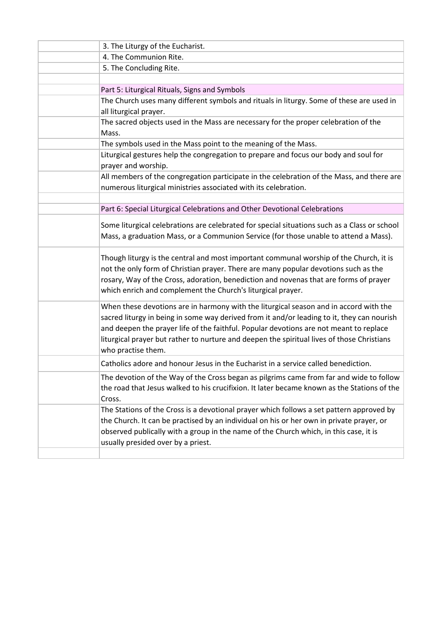| 3. The Liturgy of the Eucharist.                                                                                                                                                                                                                                                                                                                                                                  |
|---------------------------------------------------------------------------------------------------------------------------------------------------------------------------------------------------------------------------------------------------------------------------------------------------------------------------------------------------------------------------------------------------|
| 4. The Communion Rite.                                                                                                                                                                                                                                                                                                                                                                            |
| 5. The Concluding Rite.                                                                                                                                                                                                                                                                                                                                                                           |
|                                                                                                                                                                                                                                                                                                                                                                                                   |
| Part 5: Liturgical Rituals, Signs and Symbols                                                                                                                                                                                                                                                                                                                                                     |
| The Church uses many different symbols and rituals in liturgy. Some of these are used in                                                                                                                                                                                                                                                                                                          |
| all liturgical prayer.                                                                                                                                                                                                                                                                                                                                                                            |
| The sacred objects used in the Mass are necessary for the proper celebration of the                                                                                                                                                                                                                                                                                                               |
| Mass.                                                                                                                                                                                                                                                                                                                                                                                             |
| The symbols used in the Mass point to the meaning of the Mass.                                                                                                                                                                                                                                                                                                                                    |
| Liturgical gestures help the congregation to prepare and focus our body and soul for<br>prayer and worship.                                                                                                                                                                                                                                                                                       |
| All members of the congregation participate in the celebration of the Mass, and there are<br>numerous liturgical ministries associated with its celebration.                                                                                                                                                                                                                                      |
|                                                                                                                                                                                                                                                                                                                                                                                                   |
| Part 6: Special Liturgical Celebrations and Other Devotional Celebrations                                                                                                                                                                                                                                                                                                                         |
| Some liturgical celebrations are celebrated for special situations such as a Class or school<br>Mass, a graduation Mass, or a Communion Service (for those unable to attend a Mass).                                                                                                                                                                                                              |
| Though liturgy is the central and most important communal worship of the Church, it is<br>not the only form of Christian prayer. There are many popular devotions such as the<br>rosary, Way of the Cross, adoration, benediction and novenas that are forms of prayer<br>which enrich and complement the Church's liturgical prayer.                                                             |
| When these devotions are in harmony with the liturgical season and in accord with the<br>sacred liturgy in being in some way derived from it and/or leading to it, they can nourish<br>and deepen the prayer life of the faithful. Popular devotions are not meant to replace<br>liturgical prayer but rather to nurture and deepen the spiritual lives of those Christians<br>who practise them. |
| Catholics adore and honour Jesus in the Eucharist in a service called benediction.                                                                                                                                                                                                                                                                                                                |
| The devotion of the Way of the Cross began as pilgrims came from far and wide to follow<br>the road that Jesus walked to his crucifixion. It later became known as the Stations of the<br>Cross.                                                                                                                                                                                                  |
| The Stations of the Cross is a devotional prayer which follows a set pattern approved by<br>the Church. It can be practised by an individual on his or her own in private prayer, or<br>observed publically with a group in the name of the Church which, in this case, it is<br>usually presided over by a priest.                                                                               |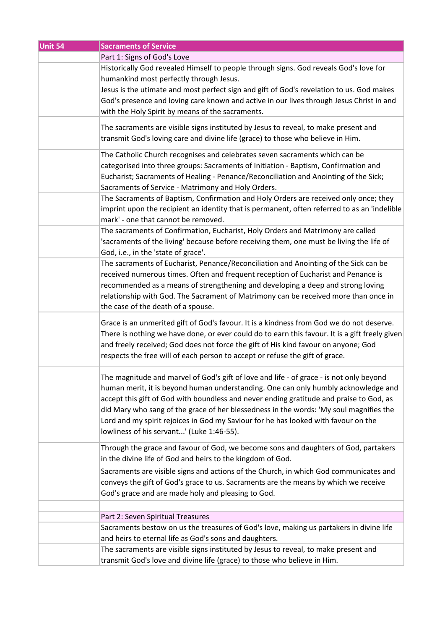| Unit 54 | <b>Sacraments of Service</b>                                                                   |
|---------|------------------------------------------------------------------------------------------------|
|         | Part 1: Signs of God's Love                                                                    |
|         | Historically God revealed Himself to people through signs. God reveals God's love for          |
|         | humankind most perfectly through Jesus.                                                        |
|         | Jesus is the utimate and most perfect sign and gift of God's revelation to us. God makes       |
|         | God's presence and loving care known and active in our lives through Jesus Christ in and       |
|         | with the Holy Spirit by means of the sacraments.                                               |
|         |                                                                                                |
|         | The sacraments are visible signs instituted by Jesus to reveal, to make present and            |
|         | transmit God's loving care and divine life (grace) to those who believe in Him.                |
|         | The Catholic Church recognises and celebrates seven sacraments which can be                    |
|         | categorised into three groups: Sacraments of Initiation - Baptism, Confirmation and            |
|         |                                                                                                |
|         | Eucharist; Sacraments of Healing - Penance/Reconciliation and Anointing of the Sick;           |
|         | Sacraments of Service - Matrimony and Holy Orders.                                             |
|         | The Sacraments of Baptism, Confirmation and Holy Orders are received only once; they           |
|         | imprint upon the recipient an identity that is permanent, often referred to as an 'indelible   |
|         | mark' - one that cannot be removed.                                                            |
|         | The sacraments of Confirmation, Eucharist, Holy Orders and Matrimony are called                |
|         | 'sacraments of the living' because before receiving them, one must be living the life of       |
|         | God, i.e., in the 'state of grace'.                                                            |
|         | The sacraments of Eucharist, Penance/Reconciliation and Anointing of the Sick can be           |
|         | received numerous times. Often and frequent reception of Eucharist and Penance is              |
|         | recommended as a means of strengthening and developing a deep and strong loving                |
|         | relationship with God. The Sacrament of Matrimony can be received more than once in            |
|         | the case of the death of a spouse.                                                             |
|         |                                                                                                |
|         | Grace is an unmerited gift of God's favour. It is a kindness from God we do not deserve.       |
|         | There is nothing we have done, or ever could do to earn this favour. It is a gift freely given |
|         | and freely received; God does not force the gift of His kind favour on anyone; God             |
|         | respects the free will of each person to accept or refuse the gift of grace.                   |
|         |                                                                                                |
|         | The magnitude and marvel of God's gift of love and life - of grace - is not only beyond        |
|         | human merit, it is beyond human understanding. One can only humbly acknowledge and             |
|         | accept this gift of God with boundless and never ending gratitude and praise to God, as        |
|         | did Mary who sang of the grace of her blessedness in the words: 'My soul magnifies the         |
|         | Lord and my spirit rejoices in God my Saviour for he has looked with favour on the             |
|         | lowliness of his servant' (Luke 1:46-55).                                                      |
|         |                                                                                                |
|         | Through the grace and favour of God, we become sons and daughters of God, partakers            |
|         | in the divine life of God and heirs to the kingdom of God.                                     |
|         | Sacraments are visible signs and actions of the Church, in which God communicates and          |
|         | conveys the gift of God's grace to us. Sacraments are the means by which we receive            |
|         | God's grace and are made holy and pleasing to God.                                             |
|         |                                                                                                |
|         | Part 2: Seven Spiritual Treasures                                                              |
|         | Sacraments bestow on us the treasures of God's love, making us partakers in divine life        |
|         | and heirs to eternal life as God's sons and daughters.                                         |
|         |                                                                                                |
|         | The sacraments are visible signs instituted by Jesus to reveal, to make present and            |
|         | transmit God's love and divine life (grace) to those who believe in Him.                       |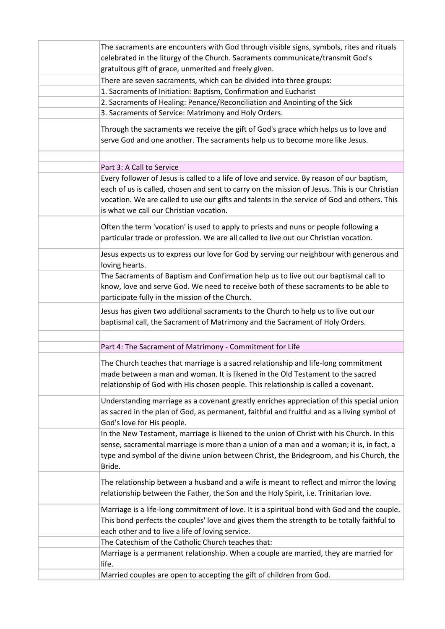| The sacraments are encounters with God through visible signs, symbols, rites and rituals                                                                                                                                                                                                   |
|--------------------------------------------------------------------------------------------------------------------------------------------------------------------------------------------------------------------------------------------------------------------------------------------|
| celebrated in the liturgy of the Church. Sacraments communicate/transmit God's                                                                                                                                                                                                             |
| gratuitous gift of grace, unmerited and freely given.                                                                                                                                                                                                                                      |
| There are seven sacraments, which can be divided into three groups:                                                                                                                                                                                                                        |
| 1. Sacraments of Initiation: Baptism, Confirmation and Eucharist                                                                                                                                                                                                                           |
| 2. Sacraments of Healing: Penance/Reconciliation and Anointing of the Sick                                                                                                                                                                                                                 |
| 3. Sacraments of Service: Matrimony and Holy Orders.                                                                                                                                                                                                                                       |
| Through the sacraments we receive the gift of God's grace which helps us to love and                                                                                                                                                                                                       |
| serve God and one another. The sacraments help us to become more like Jesus.                                                                                                                                                                                                               |
| Part 3: A Call to Service                                                                                                                                                                                                                                                                  |
| Every follower of Jesus is called to a life of love and service. By reason of our baptism,                                                                                                                                                                                                 |
| each of us is called, chosen and sent to carry on the mission of Jesus. This is our Christian<br>vocation. We are called to use our gifts and talents in the service of God and others. This<br>is what we call our Christian vocation.                                                    |
| Often the term 'vocation' is used to apply to priests and nuns or people following a<br>particular trade or profession. We are all called to live out our Christian vocation.                                                                                                              |
| Jesus expects us to express our love for God by serving our neighbour with generous and<br>loving hearts.                                                                                                                                                                                  |
| The Sacraments of Baptism and Confirmation help us to live out our baptismal call to<br>know, love and serve God. We need to receive both of these sacraments to be able to<br>participate fully in the mission of the Church.                                                             |
| Jesus has given two additional sacraments to the Church to help us to live out our<br>baptismal call, the Sacrament of Matrimony and the Sacrament of Holy Orders.                                                                                                                         |
|                                                                                                                                                                                                                                                                                            |
| Part 4: The Sacrament of Matrimony - Commitment for Life                                                                                                                                                                                                                                   |
| The Church teaches that marriage is a sacred relationship and life-long commitment<br>made between a man and woman. It is likened in the Old Testament to the sacred<br>relationship of God with His chosen people. This relationship is called a covenant.                                |
| Understanding marriage as a covenant greatly enriches appreciation of this special union<br>as sacred in the plan of God, as permanent, faithful and fruitful and as a living symbol of<br>God's love for His people.                                                                      |
| In the New Testament, marriage is likened to the union of Christ with his Church. In this<br>sense, sacramental marriage is more than a union of a man and a woman; it is, in fact, a<br>type and symbol of the divine union between Christ, the Bridegroom, and his Church, the<br>Bride. |
| The relationship between a husband and a wife is meant to reflect and mirror the loving<br>relationship between the Father, the Son and the Holy Spirit, i.e. Trinitarian love.                                                                                                            |
| Marriage is a life-long commitment of love. It is a spiritual bond with God and the couple.<br>This bond perfects the couples' love and gives them the strength to be totally faithful to<br>each other and to live a life of loving service.                                              |
| The Catechism of the Catholic Church teaches that:                                                                                                                                                                                                                                         |
| Marriage is a permanent relationship. When a couple are married, they are married for<br>life.                                                                                                                                                                                             |
| Married couples are open to accepting the gift of children from God.                                                                                                                                                                                                                       |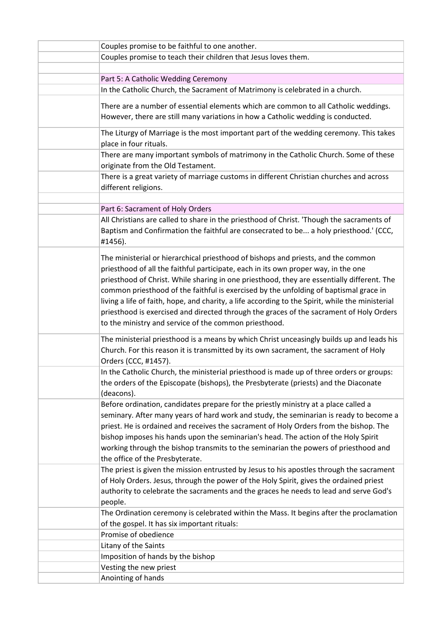| Couples promise to be faithful to one another.                                                                                                                                                                                                                                                                                                                                                                                                                                                                                                                                                                         |
|------------------------------------------------------------------------------------------------------------------------------------------------------------------------------------------------------------------------------------------------------------------------------------------------------------------------------------------------------------------------------------------------------------------------------------------------------------------------------------------------------------------------------------------------------------------------------------------------------------------------|
| Couples promise to teach their children that Jesus loves them.                                                                                                                                                                                                                                                                                                                                                                                                                                                                                                                                                         |
|                                                                                                                                                                                                                                                                                                                                                                                                                                                                                                                                                                                                                        |
| Part 5: A Catholic Wedding Ceremony                                                                                                                                                                                                                                                                                                                                                                                                                                                                                                                                                                                    |
| In the Catholic Church, the Sacrament of Matrimony is celebrated in a church.                                                                                                                                                                                                                                                                                                                                                                                                                                                                                                                                          |
| There are a number of essential elements which are common to all Catholic weddings.<br>However, there are still many variations in how a Catholic wedding is conducted.                                                                                                                                                                                                                                                                                                                                                                                                                                                |
| The Liturgy of Marriage is the most important part of the wedding ceremony. This takes<br>place in four rituals.                                                                                                                                                                                                                                                                                                                                                                                                                                                                                                       |
| There are many important symbols of matrimony in the Catholic Church. Some of these<br>originate from the Old Testament.                                                                                                                                                                                                                                                                                                                                                                                                                                                                                               |
| There is a great variety of marriage customs in different Christian churches and across<br>different religions.                                                                                                                                                                                                                                                                                                                                                                                                                                                                                                        |
|                                                                                                                                                                                                                                                                                                                                                                                                                                                                                                                                                                                                                        |
| Part 6: Sacrament of Holy Orders                                                                                                                                                                                                                                                                                                                                                                                                                                                                                                                                                                                       |
| All Christians are called to share in the priesthood of Christ. 'Though the sacraments of<br>Baptism and Confirmation the faithful are consecrated to be a holy priesthood.' (CCC,<br>#1456).                                                                                                                                                                                                                                                                                                                                                                                                                          |
| The ministerial or hierarchical priesthood of bishops and priests, and the common<br>priesthood of all the faithful participate, each in its own proper way, in the one<br>priesthood of Christ. While sharing in one priesthood, they are essentially different. The<br>common priesthood of the faithful is exercised by the unfolding of baptismal grace in<br>living a life of faith, hope, and charity, a life according to the Spirit, while the ministerial<br>priesthood is exercised and directed through the graces of the sacrament of Holy Orders<br>to the ministry and service of the common priesthood. |
| The ministerial priesthood is a means by which Christ unceasingly builds up and leads his<br>Church. For this reason it is transmitted by its own sacrament, the sacrament of Holy<br>Orders (CCC, #1457).                                                                                                                                                                                                                                                                                                                                                                                                             |
| In the Catholic Church, the ministerial priesthood is made up of three orders or groups:<br>the orders of the Episcopate (bishops), the Presbyterate (priests) and the Diaconate<br>(deacons).                                                                                                                                                                                                                                                                                                                                                                                                                         |
| Before ordination, candidates prepare for the priestly ministry at a place called a<br>seminary. After many years of hard work and study, the seminarian is ready to become a<br>priest. He is ordained and receives the sacrament of Holy Orders from the bishop. The<br>bishop imposes his hands upon the seminarian's head. The action of the Holy Spirit<br>working through the bishop transmits to the seminarian the powers of priesthood and<br>the office of the Presbyterate.                                                                                                                                 |
| The priest is given the mission entrusted by Jesus to his apostles through the sacrament<br>of Holy Orders. Jesus, through the power of the Holy Spirit, gives the ordained priest<br>authority to celebrate the sacraments and the graces he needs to lead and serve God's<br>people.                                                                                                                                                                                                                                                                                                                                 |
| The Ordination ceremony is celebrated within the Mass. It begins after the proclamation<br>of the gospel. It has six important rituals:                                                                                                                                                                                                                                                                                                                                                                                                                                                                                |
| Promise of obedience                                                                                                                                                                                                                                                                                                                                                                                                                                                                                                                                                                                                   |
| Litany of the Saints                                                                                                                                                                                                                                                                                                                                                                                                                                                                                                                                                                                                   |
| Imposition of hands by the bishop                                                                                                                                                                                                                                                                                                                                                                                                                                                                                                                                                                                      |
| Vesting the new priest                                                                                                                                                                                                                                                                                                                                                                                                                                                                                                                                                                                                 |
| Anointing of hands                                                                                                                                                                                                                                                                                                                                                                                                                                                                                                                                                                                                     |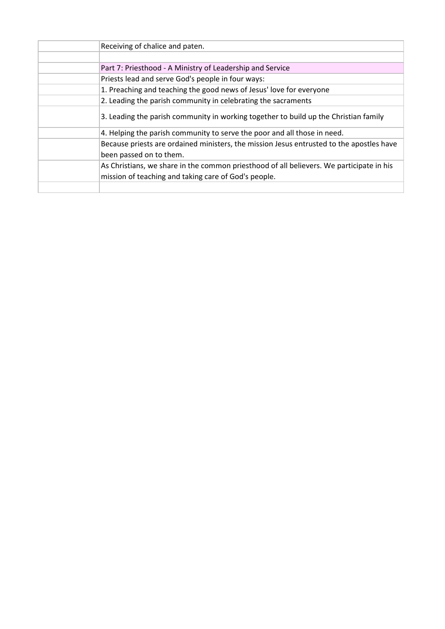| Receiving of chalice and paten.                                                                                                                  |
|--------------------------------------------------------------------------------------------------------------------------------------------------|
|                                                                                                                                                  |
| Part 7: Priesthood - A Ministry of Leadership and Service                                                                                        |
| Priests lead and serve God's people in four ways:                                                                                                |
| 1. Preaching and teaching the good news of Jesus' love for everyone                                                                              |
| 2. Leading the parish community in celebrating the sacraments                                                                                    |
| 3. Leading the parish community in working together to build up the Christian family                                                             |
| 4. Helping the parish community to serve the poor and all those in need.                                                                         |
| Because priests are ordained ministers, the mission Jesus entrusted to the apostles have<br>been passed on to them.                              |
| As Christians, we share in the common priesthood of all believers. We participate in his<br>mission of teaching and taking care of God's people. |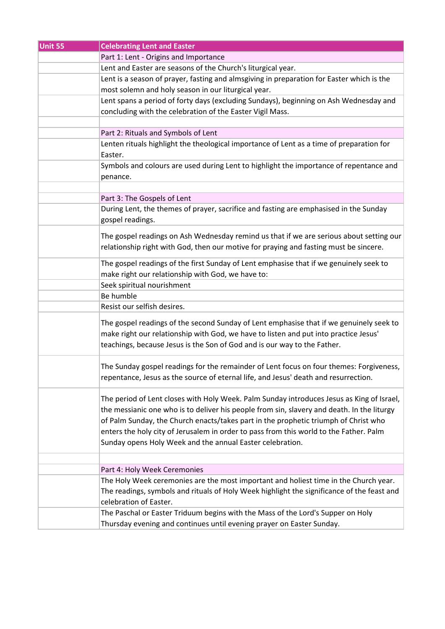| Unit 55 | <b>Celebrating Lent and Easter</b>                                                         |
|---------|--------------------------------------------------------------------------------------------|
|         | Part 1: Lent - Origins and Importance                                                      |
|         | Lent and Easter are seasons of the Church's liturgical year.                               |
|         | Lent is a season of prayer, fasting and almsgiving in preparation for Easter which is the  |
|         | most solemn and holy season in our liturgical year.                                        |
|         | Lent spans a period of forty days (excluding Sundays), beginning on Ash Wednesday and      |
|         | concluding with the celebration of the Easter Vigil Mass.                                  |
|         |                                                                                            |
|         | Part 2: Rituals and Symbols of Lent                                                        |
|         | Lenten rituals highlight the theological importance of Lent as a time of preparation for   |
|         | Easter.                                                                                    |
|         | Symbols and colours are used during Lent to highlight the importance of repentance and     |
|         | penance.                                                                                   |
|         |                                                                                            |
|         | Part 3: The Gospels of Lent                                                                |
|         | During Lent, the themes of prayer, sacrifice and fasting are emphasised in the Sunday      |
|         | gospel readings.                                                                           |
|         |                                                                                            |
|         | The gospel readings on Ash Wednesday remind us that if we are serious about setting our    |
|         | relationship right with God, then our motive for praying and fasting must be sincere.      |
|         | The gospel readings of the first Sunday of Lent emphasise that if we genuinely seek to     |
|         | make right our relationship with God, we have to:                                          |
|         | Seek spiritual nourishment                                                                 |
|         | Be humble                                                                                  |
|         | Resist our selfish desires.                                                                |
|         |                                                                                            |
|         | The gospel readings of the second Sunday of Lent emphasise that if we genuinely seek to    |
|         | make right our relationship with God, we have to listen and put into practice Jesus'       |
|         | teachings, because Jesus is the Son of God and is our way to the Father.                   |
|         |                                                                                            |
|         | The Sunday gospel readings for the remainder of Lent focus on four themes: Forgiveness,    |
|         | repentance, Jesus as the source of eternal life, and Jesus' death and resurrection.        |
|         |                                                                                            |
|         | The period of Lent closes with Holy Week. Palm Sunday introduces Jesus as King of Israel,  |
|         | the messianic one who is to deliver his people from sin, slavery and death. In the liturgy |
|         | of Palm Sunday, the Church enacts/takes part in the prophetic triumph of Christ who        |
|         | enters the holy city of Jerusalem in order to pass from this world to the Father. Palm     |
|         | Sunday opens Holy Week and the annual Easter celebration.                                  |
|         |                                                                                            |
|         | Part 4: Holy Week Ceremonies                                                               |
|         | The Holy Week ceremonies are the most important and holiest time in the Church year.       |
|         | The readings, symbols and rituals of Holy Week highlight the significance of the feast and |
|         | celebration of Easter.                                                                     |
|         | The Paschal or Easter Triduum begins with the Mass of the Lord's Supper on Holy            |
|         |                                                                                            |
|         | Thursday evening and continues until evening prayer on Easter Sunday.                      |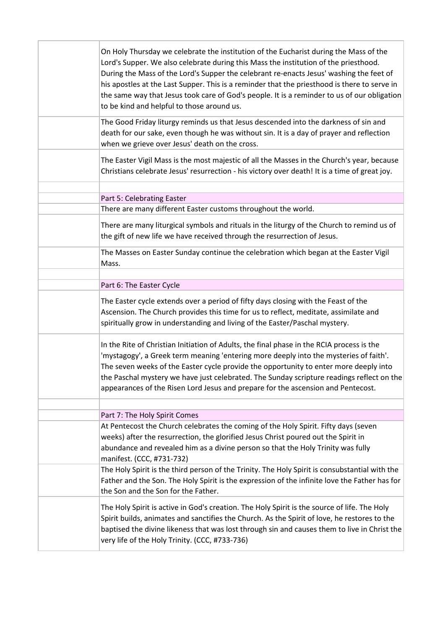| On Holy Thursday we celebrate the institution of the Eucharist during the Mass of the<br>Lord's Supper. We also celebrate during this Mass the institution of the priesthood.<br>During the Mass of the Lord's Supper the celebrant re-enacts Jesus' washing the feet of<br>his apostles at the Last Supper. This is a reminder that the priesthood is there to serve in<br>the same way that Jesus took care of God's people. It is a reminder to us of our obligation<br>to be kind and helpful to those around us. |
|-----------------------------------------------------------------------------------------------------------------------------------------------------------------------------------------------------------------------------------------------------------------------------------------------------------------------------------------------------------------------------------------------------------------------------------------------------------------------------------------------------------------------|
| The Good Friday liturgy reminds us that Jesus descended into the darkness of sin and<br>death for our sake, even though he was without sin. It is a day of prayer and reflection<br>when we grieve over Jesus' death on the cross.                                                                                                                                                                                                                                                                                    |
| The Easter Vigil Mass is the most majestic of all the Masses in the Church's year, because<br>Christians celebrate Jesus' resurrection - his victory over death! It is a time of great joy.                                                                                                                                                                                                                                                                                                                           |
|                                                                                                                                                                                                                                                                                                                                                                                                                                                                                                                       |
| Part 5: Celebrating Easter                                                                                                                                                                                                                                                                                                                                                                                                                                                                                            |
| There are many different Easter customs throughout the world.                                                                                                                                                                                                                                                                                                                                                                                                                                                         |
| There are many liturgical symbols and rituals in the liturgy of the Church to remind us of<br>the gift of new life we have received through the resurrection of Jesus.                                                                                                                                                                                                                                                                                                                                                |
| The Masses on Easter Sunday continue the celebration which began at the Easter Vigil<br>Mass.                                                                                                                                                                                                                                                                                                                                                                                                                         |
|                                                                                                                                                                                                                                                                                                                                                                                                                                                                                                                       |
| Part 6: The Easter Cycle                                                                                                                                                                                                                                                                                                                                                                                                                                                                                              |
| The Easter cycle extends over a period of fifty days closing with the Feast of the<br>Ascension. The Church provides this time for us to reflect, meditate, assimilate and<br>spiritually grow in understanding and living of the Easter/Paschal mystery.                                                                                                                                                                                                                                                             |
| In the Rite of Christian Initiation of Adults, the final phase in the RCIA process is the<br>'mystagogy', a Greek term meaning 'entering more deeply into the mysteries of faith'.<br>The seven weeks of the Easter cycle provide the opportunity to enter more deeply into<br>the Paschal mystery we have just celebrated. The Sunday scripture readings reflect on the<br>appearances of the Risen Lord Jesus and prepare for the ascension and Pentecost.                                                          |
|                                                                                                                                                                                                                                                                                                                                                                                                                                                                                                                       |
| Part 7: The Holy Spirit Comes                                                                                                                                                                                                                                                                                                                                                                                                                                                                                         |
| At Pentecost the Church celebrates the coming of the Holy Spirit. Fifty days (seven<br>weeks) after the resurrection, the glorified Jesus Christ poured out the Spirit in<br>abundance and revealed him as a divine person so that the Holy Trinity was fully<br>manifest. (CCC, #731-732)                                                                                                                                                                                                                            |
| The Holy Spirit is the third person of the Trinity. The Holy Spirit is consubstantial with the<br>Father and the Son. The Holy Spirit is the expression of the infinite love the Father has for<br>the Son and the Son for the Father.                                                                                                                                                                                                                                                                                |
| The Holy Spirit is active in God's creation. The Holy Spirit is the source of life. The Holy<br>Spirit builds, animates and sanctifies the Church. As the Spirit of love, he restores to the<br>baptised the divine likeness that was lost through sin and causes them to live in Christ the<br>very life of the Holy Trinity. (CCC, #733-736)                                                                                                                                                                        |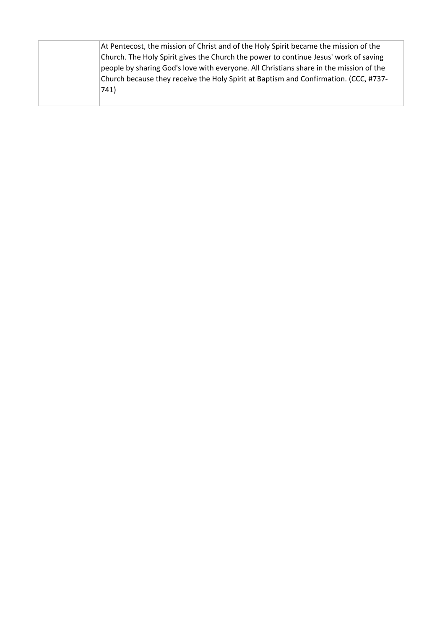| At Pentecost, the mission of Christ and of the Holy Spirit became the mission of the   |
|----------------------------------------------------------------------------------------|
| Church. The Holy Spirit gives the Church the power to continue Jesus' work of saving   |
| people by sharing God's love with everyone. All Christians share in the mission of the |
| Church because they receive the Holy Spirit at Baptism and Confirmation. (CCC, #737-   |
| 741)                                                                                   |
|                                                                                        |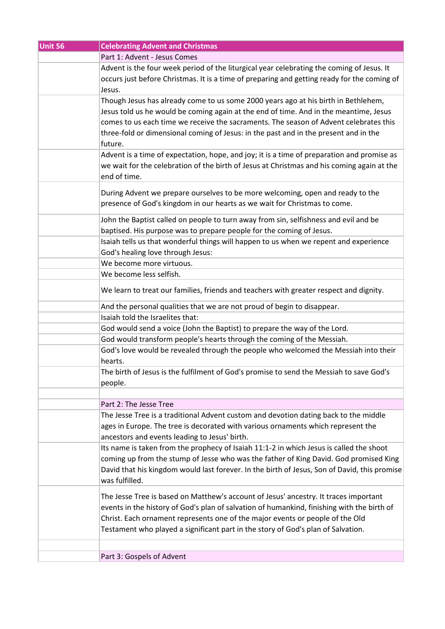| Unit 56 | <b>Celebrating Advent and Christmas</b>                                                                                                                                                                                                                                                                                                                                 |
|---------|-------------------------------------------------------------------------------------------------------------------------------------------------------------------------------------------------------------------------------------------------------------------------------------------------------------------------------------------------------------------------|
|         | Part 1: Advent - Jesus Comes                                                                                                                                                                                                                                                                                                                                            |
|         | Advent is the four week period of the liturgical year celebrating the coming of Jesus. It<br>occurs just before Christmas. It is a time of preparing and getting ready for the coming of<br>Jesus.                                                                                                                                                                      |
|         | Though Jesus has already come to us some 2000 years ago at his birth in Bethlehem,<br>Jesus told us he would be coming again at the end of time. And in the meantime, Jesus<br>comes to us each time we receive the sacraments. The season of Advent celebrates this<br>three-fold or dimensional coming of Jesus: in the past and in the present and in the<br>future. |
|         | Advent is a time of expectation, hope, and joy; it is a time of preparation and promise as<br>we wait for the celebration of the birth of Jesus at Christmas and his coming again at the<br>end of time.                                                                                                                                                                |
|         | During Advent we prepare ourselves to be more welcoming, open and ready to the<br>presence of God's kingdom in our hearts as we wait for Christmas to come.                                                                                                                                                                                                             |
|         | John the Baptist called on people to turn away from sin, selfishness and evil and be<br>baptised. His purpose was to prepare people for the coming of Jesus.                                                                                                                                                                                                            |
|         | Isaiah tells us that wonderful things will happen to us when we repent and experience<br>God's healing love through Jesus:                                                                                                                                                                                                                                              |
|         | We become more virtuous.                                                                                                                                                                                                                                                                                                                                                |
|         | We become less selfish.                                                                                                                                                                                                                                                                                                                                                 |
|         | We learn to treat our families, friends and teachers with greater respect and dignity.                                                                                                                                                                                                                                                                                  |
|         | And the personal qualities that we are not proud of begin to disappear.                                                                                                                                                                                                                                                                                                 |
|         | Isaiah told the Israelites that:                                                                                                                                                                                                                                                                                                                                        |
|         | God would send a voice (John the Baptist) to prepare the way of the Lord.                                                                                                                                                                                                                                                                                               |
|         | God would transform people's hearts through the coming of the Messiah.                                                                                                                                                                                                                                                                                                  |
|         | God's love would be revealed through the people who welcomed the Messiah into their<br>hearts.                                                                                                                                                                                                                                                                          |
|         | The birth of Jesus is the fulfilment of God's promise to send the Messiah to save God's<br>people.                                                                                                                                                                                                                                                                      |
|         |                                                                                                                                                                                                                                                                                                                                                                         |
|         | Part 2: The Jesse Tree                                                                                                                                                                                                                                                                                                                                                  |
|         | The Jesse Tree is a traditional Advent custom and devotion dating back to the middle<br>ages in Europe. The tree is decorated with various ornaments which represent the<br>ancestors and events leading to Jesus' birth.                                                                                                                                               |
|         | Its name is taken from the prophecy of Isaiah 11:1-2 in which Jesus is called the shoot<br>coming up from the stump of Jesse who was the father of King David. God promised King<br>David that his kingdom would last forever. In the birth of Jesus, Son of David, this promise<br>was fulfilled.                                                                      |
|         | The Jesse Tree is based on Matthew's account of Jesus' ancestry. It traces important<br>events in the history of God's plan of salvation of humankind, finishing with the birth of<br>Christ. Each ornament represents one of the major events or people of the Old<br>Testament who played a significant part in the story of God's plan of Salvation.                 |
|         | Part 3: Gospels of Advent                                                                                                                                                                                                                                                                                                                                               |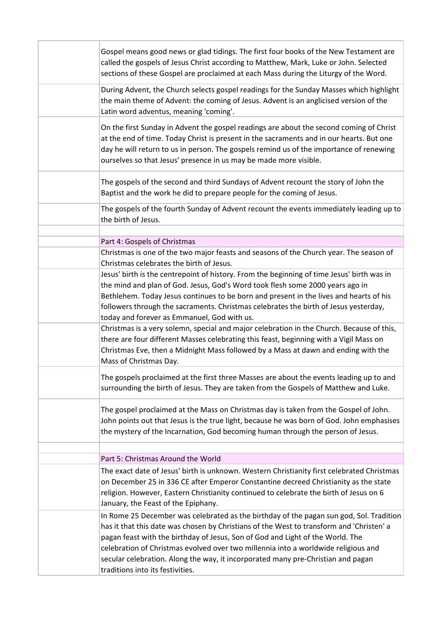| Gospel means good news or glad tidings. The first four books of the New Testament are<br>called the gospels of Jesus Christ according to Matthew, Mark, Luke or John. Selected<br>sections of these Gospel are proclaimed at each Mass during the Liturgy of the Word.                                                                                                                                                                                                              |
|-------------------------------------------------------------------------------------------------------------------------------------------------------------------------------------------------------------------------------------------------------------------------------------------------------------------------------------------------------------------------------------------------------------------------------------------------------------------------------------|
| During Advent, the Church selects gospel readings for the Sunday Masses which highlight<br>the main theme of Advent: the coming of Jesus. Advent is an anglicised version of the<br>Latin word adventus, meaning 'coming'.                                                                                                                                                                                                                                                          |
| On the first Sunday in Advent the gospel readings are about the second coming of Christ<br>at the end of time. Today Christ is present in the sacraments and in our hearts. But one<br>day he will return to us in person. The gospels remind us of the importance of renewing<br>ourselves so that Jesus' presence in us may be made more visible.                                                                                                                                 |
| The gospels of the second and third Sundays of Advent recount the story of John the<br>Baptist and the work he did to prepare people for the coming of Jesus.                                                                                                                                                                                                                                                                                                                       |
| The gospels of the fourth Sunday of Advent recount the events immediately leading up to<br>the birth of Jesus.                                                                                                                                                                                                                                                                                                                                                                      |
| Part 4: Gospels of Christmas                                                                                                                                                                                                                                                                                                                                                                                                                                                        |
| Christmas is one of the two major feasts and seasons of the Church year. The season of<br>Christmas celebrates the birth of Jesus.                                                                                                                                                                                                                                                                                                                                                  |
| Jesus' birth is the centrepoint of history. From the beginning of time Jesus' birth was in<br>the mind and plan of God. Jesus, God's Word took flesh some 2000 years ago in<br>Bethlehem. Today Jesus continues to be born and present in the lives and hearts of his<br>followers through the sacraments. Christmas celebrates the birth of Jesus yesterday,<br>today and forever as Emmanuel, God with us.                                                                        |
| Christmas is a very solemn, special and major celebration in the Church. Because of this,<br>there are four different Masses celebrating this feast, beginning with a Vigil Mass on<br>Christmas Eve, then a Midnight Mass followed by a Mass at dawn and ending with the<br>Mass of Christmas Day.                                                                                                                                                                                 |
| The gospels proclaimed at the first three Masses are about the events leading up to and<br>surrounding the birth of Jesus. They are taken from the Gospels of Matthew and Luke.                                                                                                                                                                                                                                                                                                     |
| The gospel proclaimed at the Mass on Christmas day is taken from the Gospel of John.<br>John points out that Jesus is the true light, because he was born of God. John emphasises<br>the mystery of the Incarnation, God becoming human through the person of Jesus.                                                                                                                                                                                                                |
| Part 5: Christmas Around the World                                                                                                                                                                                                                                                                                                                                                                                                                                                  |
| The exact date of Jesus' birth is unknown. Western Christianity first celebrated Christmas                                                                                                                                                                                                                                                                                                                                                                                          |
| on December 25 in 336 CE after Emperor Constantine decreed Christianity as the state<br>religion. However, Eastern Christianity continued to celebrate the birth of Jesus on 6<br>January, the Feast of the Epiphany.                                                                                                                                                                                                                                                               |
| In Rome 25 December was celebrated as the birthday of the pagan sun god, Sol. Tradition<br>has it that this date was chosen by Christians of the West to transform and 'Christen' a<br>pagan feast with the birthday of Jesus, Son of God and Light of the World. The<br>celebration of Christmas evolved over two millennia into a worldwide religious and<br>secular celebration. Along the way, it incorporated many pre-Christian and pagan<br>traditions into its festivities. |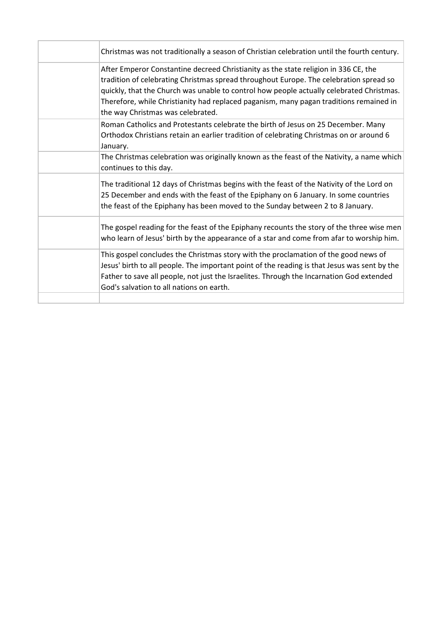| Christmas was not traditionally a season of Christian celebration until the fourth century.                                                                                                                                                                                                                                                                                                              |
|----------------------------------------------------------------------------------------------------------------------------------------------------------------------------------------------------------------------------------------------------------------------------------------------------------------------------------------------------------------------------------------------------------|
| After Emperor Constantine decreed Christianity as the state religion in 336 CE, the<br>tradition of celebrating Christmas spread throughout Europe. The celebration spread so<br>quickly, that the Church was unable to control how people actually celebrated Christmas.<br>Therefore, while Christianity had replaced paganism, many pagan traditions remained in<br>the way Christmas was celebrated. |
| Roman Catholics and Protestants celebrate the birth of Jesus on 25 December. Many<br>Orthodox Christians retain an earlier tradition of celebrating Christmas on or around 6<br>January.                                                                                                                                                                                                                 |
| The Christmas celebration was originally known as the feast of the Nativity, a name which<br>continues to this day.                                                                                                                                                                                                                                                                                      |
| The traditional 12 days of Christmas begins with the feast of the Nativity of the Lord on<br>25 December and ends with the feast of the Epiphany on 6 January. In some countries<br>the feast of the Epiphany has been moved to the Sunday between 2 to 8 January.                                                                                                                                       |
| The gospel reading for the feast of the Epiphany recounts the story of the three wise men<br>who learn of Jesus' birth by the appearance of a star and come from afar to worship him.                                                                                                                                                                                                                    |
| This gospel concludes the Christmas story with the proclamation of the good news of<br>Jesus' birth to all people. The important point of the reading is that Jesus was sent by the<br>Father to save all people, not just the Israelites. Through the Incarnation God extended<br>God's salvation to all nations on earth.                                                                              |
|                                                                                                                                                                                                                                                                                                                                                                                                          |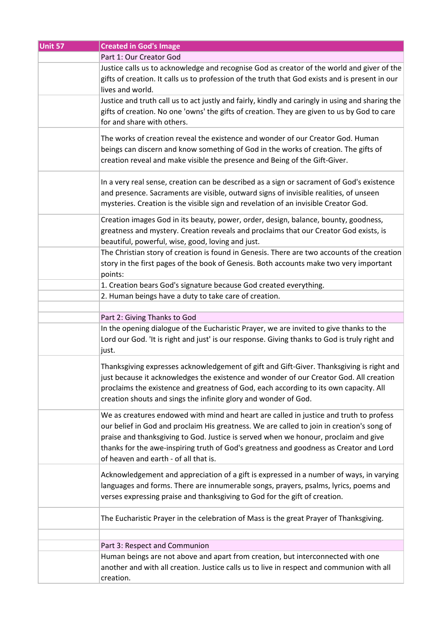| Unit 57 | <b>Created in God's Image</b>                                                                                                                                                                                                                                                                                                                                                                                 |
|---------|---------------------------------------------------------------------------------------------------------------------------------------------------------------------------------------------------------------------------------------------------------------------------------------------------------------------------------------------------------------------------------------------------------------|
|         | Part 1: Our Creator God                                                                                                                                                                                                                                                                                                                                                                                       |
|         | Justice calls us to acknowledge and recognise God as creator of the world and giver of the<br>gifts of creation. It calls us to profession of the truth that God exists and is present in our<br>lives and world.                                                                                                                                                                                             |
|         | Justice and truth call us to act justly and fairly, kindly and caringly in using and sharing the<br>gifts of creation. No one 'owns' the gifts of creation. They are given to us by God to care<br>for and share with others.                                                                                                                                                                                 |
|         | The works of creation reveal the existence and wonder of our Creator God. Human<br>beings can discern and know something of God in the works of creation. The gifts of<br>creation reveal and make visible the presence and Being of the Gift-Giver.                                                                                                                                                          |
|         | In a very real sense, creation can be described as a sign or sacrament of God's existence<br>and presence. Sacraments are visible, outward signs of invisible realities, of unseen<br>mysteries. Creation is the visible sign and revelation of an invisible Creator God.                                                                                                                                     |
|         | Creation images God in its beauty, power, order, design, balance, bounty, goodness,<br>greatness and mystery. Creation reveals and proclaims that our Creator God exists, is<br>beautiful, powerful, wise, good, loving and just.                                                                                                                                                                             |
|         | The Christian story of creation is found in Genesis. There are two accounts of the creation<br>story in the first pages of the book of Genesis. Both accounts make two very important<br>points:                                                                                                                                                                                                              |
|         | 1. Creation bears God's signature because God created everything.                                                                                                                                                                                                                                                                                                                                             |
|         | 2. Human beings have a duty to take care of creation.                                                                                                                                                                                                                                                                                                                                                         |
|         |                                                                                                                                                                                                                                                                                                                                                                                                               |
|         | Part 2: Giving Thanks to God                                                                                                                                                                                                                                                                                                                                                                                  |
|         | In the opening dialogue of the Eucharistic Prayer, we are invited to give thanks to the<br>Lord our God. 'It is right and just' is our response. Giving thanks to God is truly right and<br>just.                                                                                                                                                                                                             |
|         | Thanksgiving expresses acknowledgement of gift and Gift-Giver. Thanksgiving is right and<br>just because it acknowledges the existence and wonder of our Creator God. All creation<br>proclaims the existence and greatness of God, each according to its own capacity. All<br>creation shouts and sings the infinite glory and wonder of God.                                                                |
|         | We as creatures endowed with mind and heart are called in justice and truth to profess<br>our belief in God and proclaim His greatness. We are called to join in creation's song of<br>praise and thanksgiving to God. Justice is served when we honour, proclaim and give<br>thanks for the awe-inspiring truth of God's greatness and goodness as Creator and Lord<br>of heaven and earth - of all that is. |
|         | Acknowledgement and appreciation of a gift is expressed in a number of ways, in varying<br>languages and forms. There are innumerable songs, prayers, psalms, lyrics, poems and<br>verses expressing praise and thanksgiving to God for the gift of creation.                                                                                                                                                 |
|         | The Eucharistic Prayer in the celebration of Mass is the great Prayer of Thanksgiving.                                                                                                                                                                                                                                                                                                                        |
|         |                                                                                                                                                                                                                                                                                                                                                                                                               |
|         | Part 3: Respect and Communion                                                                                                                                                                                                                                                                                                                                                                                 |
|         | Human beings are not above and apart from creation, but interconnected with one<br>another and with all creation. Justice calls us to live in respect and communion with all<br>creation.                                                                                                                                                                                                                     |
|         |                                                                                                                                                                                                                                                                                                                                                                                                               |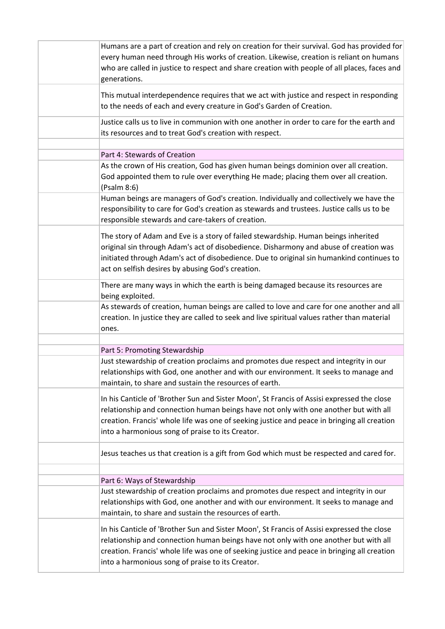| Humans are a part of creation and rely on creation for their survival. God has provided for<br>every human need through His works of creation. Likewise, creation is reliant on humans<br>who are called in justice to respect and share creation with people of all places, faces and<br>generations.                                |
|---------------------------------------------------------------------------------------------------------------------------------------------------------------------------------------------------------------------------------------------------------------------------------------------------------------------------------------|
| This mutual interdependence requires that we act with justice and respect in responding<br>to the needs of each and every creature in God's Garden of Creation.                                                                                                                                                                       |
| Justice calls us to live in communion with one another in order to care for the earth and<br>its resources and to treat God's creation with respect.                                                                                                                                                                                  |
| Part 4: Stewards of Creation                                                                                                                                                                                                                                                                                                          |
| As the crown of His creation, God has given human beings dominion over all creation.<br>God appointed them to rule over everything He made; placing them over all creation.<br>(Psalm 8:6)                                                                                                                                            |
| Human beings are managers of God's creation. Individually and collectively we have the<br>responsibility to care for God's creation as stewards and trustees. Justice calls us to be<br>responsible stewards and care-takers of creation.                                                                                             |
| The story of Adam and Eve is a story of failed stewardship. Human beings inherited<br>original sin through Adam's act of disobedience. Disharmony and abuse of creation was<br>initiated through Adam's act of disobedience. Due to original sin humankind continues to<br>act on selfish desires by abusing God's creation.          |
| There are many ways in which the earth is being damaged because its resources are<br>being exploited.                                                                                                                                                                                                                                 |
| As stewards of creation, human beings are called to love and care for one another and all<br>creation. In justice they are called to seek and live spiritual values rather than material<br>ones.                                                                                                                                     |
|                                                                                                                                                                                                                                                                                                                                       |
| Part 5: Promoting Stewardship                                                                                                                                                                                                                                                                                                         |
| Just stewardship of creation proclaims and promotes due respect and integrity in our<br>relationships with God, one another and with our environment. It seeks to manage and<br>maintain, to share and sustain the resources of earth.                                                                                                |
| In his Canticle of 'Brother Sun and Sister Moon', St Francis of Assisi expressed the close<br>relationship and connection human beings have not only with one another but with all<br>creation. Francis' whole life was one of seeking justice and peace in bringing all creation<br>into a harmonious song of praise to its Creator. |
| Jesus teaches us that creation is a gift from God which must be respected and cared for.                                                                                                                                                                                                                                              |
|                                                                                                                                                                                                                                                                                                                                       |
| Part 6: Ways of Stewardship<br>Just stewardship of creation proclaims and promotes due respect and integrity in our                                                                                                                                                                                                                   |
| relationships with God, one another and with our environment. It seeks to manage and<br>maintain, to share and sustain the resources of earth.                                                                                                                                                                                        |
| In his Canticle of 'Brother Sun and Sister Moon', St Francis of Assisi expressed the close<br>relationship and connection human beings have not only with one another but with all<br>creation. Francis' whole life was one of seeking justice and peace in bringing all creation<br>into a harmonious song of praise to its Creator. |